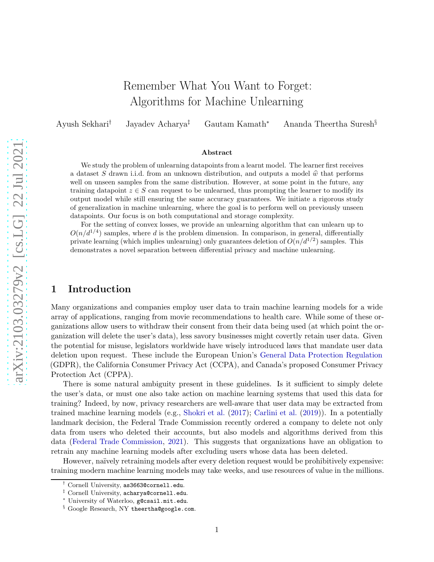# Remember What You Want to Forget: Algorithms for Machine Unlearning

Ayush Sekhari† Jayadev Acharya‡ Gautam Kamath<sup>∗</sup> Ananda Theertha Suresh§

#### Abstract

We study the problem of unlearning datapoints from a learnt model. The learner first receives a dataset S drawn i.i.d. from an unknown distribution, and outputs a model  $\hat{w}$  that performs well on unseen samples from the same distribution. However, at some point in the future, any training datapoint  $z \in S$  can request to be unlearned, thus prompting the learner to modify its output model while still ensuring the same accuracy guarantees. We initiate a rigorous study of generalization in machine unlearning, where the goal is to perform well on previously unseen datapoints. Our focus is on both computational and storage complexity.

For the setting of convex losses, we provide an unlearning algorithm that can unlearn up to  $O(n/d^{1/4})$  samples, where d is the problem dimension. In comparison, in general, differentially private learning (which implies unlearning) only guarantees deletion of  $O(n/d^{1/2})$  samples. This demonstrates a novel separation between differential privacy and machine unlearning.

## 1 Introduction

Many organizations and companies employ user data to train machine learning models for a wide array of applications, ranging from movie recommendations to health care. While some of these organizations allow users to withdraw their consent from their data being used (at which point the organization will delete the user's data), less savory businesses might covertly retain user data. Given the potential for misuse, legislators worldwide have wisely introduced laws that mandate user data deletion upon request. These include the European Union's [General Data Protection Regulation](#page-12-0) (GDPR), the California Consumer Privacy Act (CCPA), and Canada's proposed Consumer Privacy Protection Act (CPPA).

There is some natural ambiguity present in these guidelines. Is it sufficient to simply delete the user's data, or must one also take action on machine learning systems that used this data for training? Indeed, by now, privacy researchers are well-aware that user data may be extracted from trained machine learning models (e.g., [Shokri et al.](#page-13-0) [\(2017](#page-13-0)); [Carlini et al.](#page-11-0) [\(2019](#page-11-0))). In a potentially landmark decision, the Federal Trade Commission recently ordered a company to delete not only data from users who deleted their accounts, but also models and algorithms derived from this data [\(Federal Trade Commission](#page-11-1), [2021\)](#page-11-1). This suggests that organizations have an obligation to retrain any machine learning models after excluding users whose data has been deleted.

However, naïvely retraining models after every deletion request would be prohibitively expensive: training modern machine learning models may take weeks, and use resources of value in the millions.

<sup>†</sup> Cornell University, as3663@cornell.edu.

<sup>‡</sup> Cornell University, acharya@cornell.edu.

<sup>∗</sup> University of Waterloo, g@csail.mit.edu.

<sup>§</sup> Google Research, NY theertha@google.com.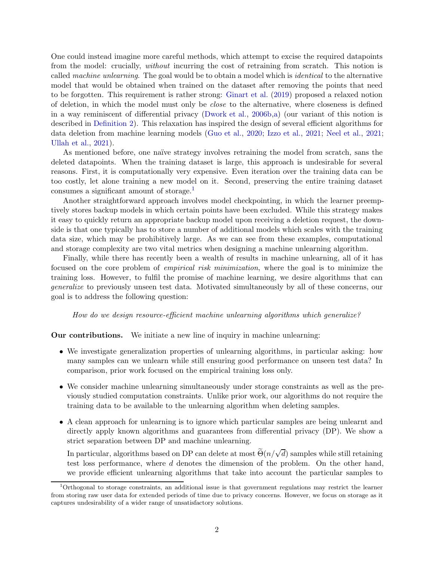One could instead imagine more careful methods, which attempt to excise the required datapoints from the model: crucially, without incurring the cost of retraining from scratch. This notion is called *machine unlearning*. The goal would be to obtain a model which is *identical* to the alternative model that would be obtained when trained on the dataset after removing the points that need to be forgotten. This requirement is rather strong: [Ginart et al.](#page-12-1) [\(2019](#page-12-1)) proposed a relaxed notion of deletion, in which the model must only be close to the alternative, where closeness is defined in a way reminiscent of differential privacy [\(Dwork et al.](#page-11-2), [2006b](#page-11-2)[,a\)](#page-11-3) (our variant of this notion is described in [Definition 2\)](#page-4-0). This relaxation has inspired the design of several efficient algorithms for data deletion from machine learning models [\(Guo et al.,](#page-12-2) [2020](#page-12-2); [Izzo et al.](#page-12-3), [2021](#page-12-3); [Neel et al.](#page-12-4), [2021](#page-12-4); [Ullah et al.,](#page-13-1) [2021](#page-13-1)).

As mentioned before, one naïve strategy involves retraining the model from scratch, sans the deleted datapoints. When the training dataset is large, this approach is undesirable for several reasons. First, it is computationally very expensive. Even iteration over the training data can be too costly, let alone training a new model on it. Second, preserving the entire training dataset consumes a significant amount of storage.<sup>[1](#page-1-0)</sup>

Another straightforward approach involves model checkpointing, in which the learner preemptively stores backup models in which certain points have been excluded. While this strategy makes it easy to quickly return an appropriate backup model upon receiving a deletion request, the downside is that one typically has to store a number of additional models which scales with the training data size, which may be prohibitively large. As we can see from these examples, computational and storage complexity are two vital metrics when designing a machine unlearning algorithm.

Finally, while there has recently been a wealth of results in machine unlearning, all of it has focused on the core problem of empirical risk minimization, where the goal is to minimize the training loss. However, to fulfil the promise of machine learning, we desire algorithms that can generalize to previously unseen test data. Motivated simultaneously by all of these concerns, our goal is to address the following question:

How do we design resource-efficient machine unlearning algorithms which generalize?

Our contributions. We initiate a new line of inquiry in machine unlearning:

- We investigate generalization properties of unlearning algorithms, in particular asking: how many samples can we unlearn while still ensuring good performance on unseen test data? In comparison, prior work focused on the empirical training loss only.
- We consider machine unlearning simultaneously under storage constraints as well as the previously studied computation constraints. Unlike prior work, our algorithms do not require the training data to be available to the unlearning algorithm when deleting samples.
- A clean approach for unlearning is to ignore which particular samples are being unlearnt and directly apply known algorithms and guarantees from differential privacy (DP). We show a strict separation between DP and machine unlearning.

In particular, algorithms based on DP can delete at most  $\widetilde{\Theta}(n/\sqrt{d})$  samples while still retaining test loss performance, where d denotes the dimension of the problem. On the other hand, we provide efficient unlearning algorithms that take into account the particular samples to

<span id="page-1-0"></span><sup>1</sup>Orthogonal to storage constraints, an additional issue is that government regulations may restrict the learner from storing raw user data for extended periods of time due to privacy concerns. However, we focus on storage as it captures undesirability of a wider range of unsatisfactory solutions.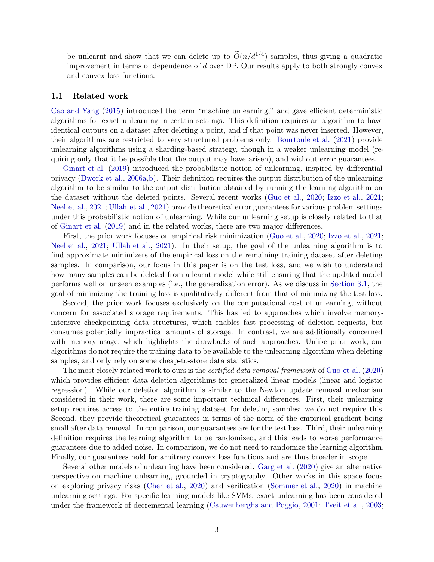be unlearnt and show that we can delete up to  $\tilde{O}(n/d^{1/4})$  samples, thus giving a quadratic improvement in terms of dependence of d over DP. Our results apply to both strongly convex and convex loss functions.

### 1.1 Related work

[Cao and Yang](#page-11-4) [\(2015](#page-11-4)) introduced the term "machine unlearning," and gave efficient deterministic algorithms for exact unlearning in certain settings. This definition requires an algorithm to have identical outputs on a dataset after deleting a point, and if that point was never inserted. However, their algorithms are restricted to very structured problems only. [Bourtoule et al.](#page-11-5) [\(2021](#page-11-5)) provide unlearning algorithms using a sharding-based strategy, though in a weaker unlearning model (requiring only that it be possible that the output may have arisen), and without error guarantees.

[Ginart et al.](#page-12-1) [\(2019\)](#page-12-1) introduced the probabilistic notion of unlearning, inspired by differential privacy [\(Dwork et al.](#page-11-3), [2006a](#page-11-3)[,b](#page-11-2)). Their definition requires the output distribution of the unlearning algorithm to be similar to the output distribution obtained by running the learning algorithm on the dataset without the deleted points. Several recent works [\(Guo et al.](#page-12-2), [2020](#page-12-2); [Izzo et al.](#page-12-3), [2021](#page-12-3); [Neel et al.,](#page-12-4) [2021](#page-12-4); [Ullah et al.](#page-13-1), [2021](#page-13-1)) provide theoretical error guarantees for various problem settings under this probabilistic notion of unlearning. While our unlearning setup is closely related to that of [Ginart et al.](#page-12-1) [\(2019](#page-12-1)) and in the related works, there are two major differences.

First, the prior work focuses on empirical risk minimization [\(Guo et al.](#page-12-2), [2020](#page-12-2); [Izzo et al.](#page-12-3), [2021](#page-12-3); [Neel et al.,](#page-12-4) [2021](#page-12-4); [Ullah et al.](#page-13-1), [2021\)](#page-13-1). In their setup, the goal of the unlearning algorithm is to find approximate minimizers of the empirical loss on the remaining training dataset after deleting samples. In comparison, our focus in this paper is on the test loss, and we wish to understand how many samples can be deleted from a learnt model while still ensuring that the updated model performs well on unseen examples (i.e., the generalization error). As we discuss in [Section 3.1,](#page-5-0) the goal of minimizing the training loss is qualitatively different from that of minimizing the test loss.

Second, the prior work focuses exclusively on the computational cost of unlearning, without concern for associated storage requirements. This has led to approaches which involve memoryintensive checkpointing data structures, which enables fast processing of deletion requests, but consumes potentially impractical amounts of storage. In contrast, we are additionally concerned with memory usage, which highlights the drawbacks of such approaches. Unlike prior work, our algorithms do not require the training data to be available to the unlearning algorithm when deleting samples, and only rely on some cheap-to-store data statistics.

The most closely related work to ours is the *certified data removal framework* of [Guo et al.](#page-12-2) [\(2020](#page-12-2)) which provides efficient data deletion algorithms for generalized linear models (linear and logistic regression). While our deletion algorithm is similar to the Newton update removal mechanism considered in their work, there are some important technical differences. First, their unlearning setup requires access to the entire training dataset for deleting samples; we do not require this. Second, they provide theoretical guarantees in terms of the norm of the empirical gradient being small after data removal. In comparison, our guarantees are for the test loss. Third, their unlearning definition requires the learning algorithm to be randomized, and this leads to worse performance guarantees due to added noise. In comparison, we do not need to randomize the learning algorithm. Finally, our guarantees hold for arbitrary convex loss functions and are thus broader in scope.

Several other models of unlearning have been considered. [Garg et al.](#page-12-5) [\(2020](#page-12-5)) give an alternative perspective on machine unlearning, grounded in cryptography. Other works in this space focus on exploring privacy risks [\(Chen et al.](#page-11-6), [2020](#page-11-6)) and verification [\(Sommer et al.,](#page-13-2) [2020](#page-13-2)) in machine unlearning settings. For specific learning models like SVMs, exact unlearning has been considered under the framework of decremental learning [\(Cauwenberghs and Poggio](#page-11-7), [2001;](#page-11-7) [Tveit et al.,](#page-13-3) [2003](#page-13-3);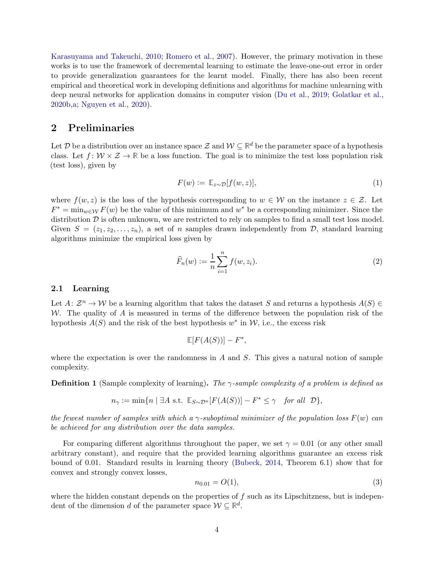[Karasuyama and Takeuchi,](#page-12-6) [2010](#page-12-6); [Romero et al.](#page-12-7), [2007](#page-12-7)). However, the primary motivation in these works is to use the framework of decremental learning to estimate the leave-one-out error in order to provide generalization guarantees for the learnt model. Finally, there has also been recent empirical and theoretical work in developing definitions and algorithms for machine unlearning with deep neural networks for application domains in computer vision [\(Du et al.](#page-11-8), [2019](#page-11-8); [Golatkar et al.](#page-12-8), [2020b](#page-12-8)[,a](#page-12-9); [Nguyen et al.,](#page-12-10) [2020](#page-12-10)).

# 2 Preliminaries

Let  $D$  be a distribution over an instance space  $\mathcal{Z}$  and  $\mathcal{W} \subseteq \mathbb{R}^d$  be the parameter space of a hypothesis class. Let  $f: \mathcal{W} \times \mathcal{Z} \to \mathbb{R}$  be a loss function. The goal is to minimize the test loss population risk (test loss), given by

$$
F(w) := \mathbb{E}_{z \sim \mathcal{D}}[f(w, z)],\tag{1}
$$

where  $f(w, z)$  is the loss of the hypothesis corresponding to  $w \in \mathcal{W}$  on the instance  $z \in \mathcal{Z}$ . Let  $F^* = \min_{w \in \mathcal{W}} F(w)$  be the value of this minimum and  $w^*$  be a corresponding minimizer. Since the distribution  $D$  is often unknown, we are restricted to rely on samples to find a small test loss model. Given  $S = (z_1, z_2, \ldots, z_n)$ , a set of n samples drawn independently from D, standard learning algorithms minimize the empirical loss given by

$$
\widehat{F}_n(w) := \frac{1}{n} \sum_{i=1}^n f(w, z_i).
$$
\n(2)

## 2.1 Learning

Let  $A: \mathcal{Z}^n \to \mathcal{W}$  be a learning algorithm that takes the dataset S and returns a hypothesis  $A(S) \in$ W. The quality of A is measured in terms of the difference between the population risk of the hypothesis  $A(S)$  and the risk of the best hypothesis  $w^*$  in  $W$ , i.e., the excess risk

$$
\mathbb{E}[F(A(S))] - F^*,
$$

where the expectation is over the randomness in A and  $S$ . This gives a natural notion of sample complexity.

**Definition 1** (Sample complexity of learning). The  $\gamma$ -sample complexity of a problem is defined as

$$
n_{\gamma} := \min\{n \mid \exists A \text{ s.t. } \mathbb{E}_{S \sim \mathcal{D}^n}[F(A(S))] - F^* \leq \gamma \quad \text{for all } \mathcal{D}\},
$$

the fewest number of samples with which a  $\gamma$ -suboptimal minimizer of the population loss  $F(w)$  can be achieved for any distribution over the data samples.

For comparing different algorithms throughout the paper, we set  $\gamma = 0.01$  (or any other small arbitrary constant), and require that the provided learning algorithms guarantee an excess risk bound of 0.01. Standard results in learning theory [\(Bubeck,](#page-11-9) [2014](#page-11-9), Theorem 6.1) show that for convex and strongly convex losses,

$$
n_{0.01} = O(1),\tag{3}
$$

where the hidden constant depends on the properties of  $f$  such as its Lipschitzness, but is independent of the dimension d of the parameter space  $W \subseteq \mathbb{R}^d$ .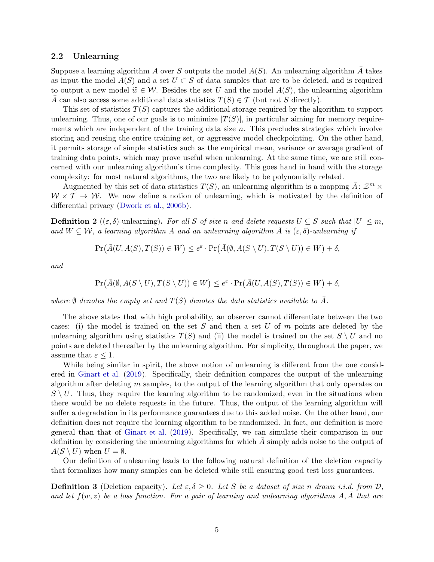## 2.2 Unlearning

Suppose a learning algorithm A over S outputs the model  $A(S)$ . An unlearning algorithm  $\overline{A}$  takes as input the model  $A(S)$  and a set  $U \subset S$  of data samples that are to be deleted, and is required to output a new model  $\widetilde{w} \in \mathcal{W}$ . Besides the set U and the model  $A(S)$ , the unlearning algorithm A can also access some additional data statistics  $T(S) \in \mathcal{T}$  (but not S directly).

This set of statistics  $T(S)$  captures the additional storage required by the algorithm to support unlearning. Thus, one of our goals is to minimize  $|T(S)|$ , in particular aiming for memory requirements which are independent of the training data size  $n$ . This precludes strategies which involve storing and reusing the entire training set, or aggressive model checkpointing. On the other hand, it permits storage of simple statistics such as the empirical mean, variance or average gradient of training data points, which may prove useful when unlearning. At the same time, we are still concerned with our unlearning algorithm's time complexity. This goes hand in hand with the storage complexity: for most natural algorithms, the two are likely to be polynomially related.

Augmented by this set of data statistics  $T(S)$ , an unlearning algorithm is a mapping  $\bar{A}: \mathcal{Z}^m \times$  $W \times \mathcal{T} \rightarrow W$ . We now define a notion of unlearning, which is motivated by the definition of differential privacy [\(Dwork et al.](#page-11-2), [2006b\)](#page-11-2).

<span id="page-4-0"></span>**Definition 2** (( $\varepsilon, \delta$ )-unlearning). For all S of size n and delete requests  $U \subseteq S$  such that  $|U| \leq m$ , and  $W \subseteq \mathcal{W}$ , a learning algorithm A and an unlearning algorithm  $\overline{A}$  is  $(\varepsilon, \delta)$ -unlearning if

$$
\Pr\left(\bar{A}(U,A(S),T(S))\in W\right)\leq e^{\varepsilon}\cdot\Pr\left(\bar{A}(\emptyset,A(S\setminus U),T(S\setminus U))\in W\right)+\delta,
$$

and

$$
\Pr\left(\bar{A}(\emptyset, A(S \setminus U), T(S \setminus U)) \in W\right) \leq e^{\varepsilon} \cdot \Pr\left(\bar{A}(U, A(S), T(S)) \in W\right) + \delta,
$$

where  $\emptyset$  denotes the empty set and  $T(S)$  denotes the data statistics available to A.

The above states that with high probability, an observer cannot differentiate between the two cases: (i) the model is trained on the set S and then a set U of  $m$  points are deleted by the unlearning algorithm using statistics  $T(S)$  and (ii) the model is trained on the set  $S \setminus U$  and no points are deleted thereafter by the unlearning algorithm. For simplicity, throughout the paper, we assume that  $\varepsilon \leq 1$ .

While being similar in spirit, the above notion of unlearning is different from the one considered in [Ginart et al.](#page-12-1) [\(2019](#page-12-1)). Specifically, their definition compares the output of the unlearning algorithm after deleting  $m$  samples, to the output of the learning algorithm that only operates on  $S \setminus U$ . Thus, they require the learning algorithm to be randomized, even in the situations when there would be no delete requests in the future. Thus, the output of the learning algorithm will suffer a degradation in its performance guarantees due to this added noise. On the other hand, our definition does not require the learning algorithm to be randomized. In fact, our definition is more general than that of [Ginart et al.](#page-12-1) [\(2019\)](#page-12-1). Specifically, we can simulate their comparison in our definition by considering the unlearning algorithms for which  $A$  simply adds noise to the output of  $A(S \setminus U)$  when  $U = \emptyset$ .

Our definition of unlearning leads to the following natural definition of the deletion capacity that formalizes how many samples can be deleted while still ensuring good test loss guarantees.

**Definition 3** (Deletion capacity). Let  $\varepsilon, \delta \geq 0$ . Let S be a dataset of size n drawn i.i.d. from D, and let  $f(w, z)$  be a loss function. For a pair of learning and unlearning algorithms A, A that are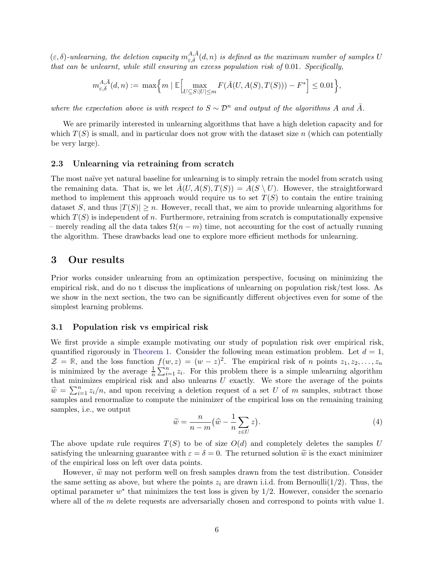$(\varepsilon, \delta)$ -unlearning, the deletion capacity  $m_{\varepsilon,\delta}^{A,\bar{A}}(d,n)$  is defined as the maximum number of samples U that can be unlearnt, while still ensuring an excess population risk of 0.01. Specifically,

$$
m^{A,\bar A}_{\varepsilon,\delta}(d,n):=\left. \max\Bigl\{ m \mid \mathbb{E}\Bigl[ \max_{U\subseteq S:|U|\le m} F(\bar A(U,A(S),T(S))) - F^* \Bigr] \le 0.01 \Bigr\},
$$

where the expectation above is with respect to  $S \sim \mathcal{D}^n$  and output of the algorithms A and  $\bar{A}$ .

We are primarily interested in unlearning algorithms that have a high deletion capacity and for which  $T(S)$  is small, and in particular does not grow with the dataset size n (which can potentially be very large).

## 2.3 Unlearning via retraining from scratch

The most naïve yet natural baseline for unlearning is to simply retrain the model from scratch using the remaining data. That is, we let  $\overline{A}(U, A(S), T(S)) = A(S \setminus U)$ . However, the straightforward method to implement this approach would require us to set  $T(S)$  to contain the entire training dataset S, and thus  $|T(S)| \geq n$ . However, recall that, we aim to provide unlearning algorithms for which  $T(S)$  is independent of n. Furthermore, retraining from scratch is computationally expensive – merely reading all the data takes  $\Omega(n-m)$  time, not accounting for the cost of actually running the algorithm. These drawbacks lead one to explore more efficient methods for unlearning.

## <span id="page-5-2"></span>3 Our results

Prior works consider unlearning from an optimization perspective, focusing on minimizing the empirical risk, and do no t discuss the implications of unlearning on population risk/test loss. As we show in the next section, the two can be significantly different objectives even for some of the simplest learning problems.

## <span id="page-5-0"></span>3.1 Population risk vs empirical risk

We first provide a simple example motivating our study of population risk over empirical risk, quantified rigorously in [Theorem 1.](#page-6-0) Consider the following mean estimation problem. Let  $d = 1$ ,  $\mathcal{Z} = \mathbb{R}$ , and the loss function  $f(w, z) = (w - z)^2$ . The empirical risk of *n* points  $z_1, z_2, \ldots, z_n$ is minimized by the average  $\frac{1}{n} \sum_{i=1}^{n} z_i$ . For this problem there is a simple unlearning algorithm that minimizes empirical risk and also unlearns  $U$  exactly. We store the average of the points  $\widehat{w} = \sum_{i=1}^n z_i/n$ , and upon receiving a deletion request of a set U of m samples, subtract those samples and renormalize to compute the minimizer of the empirical loss on the remaining training samples, i.e., we output

<span id="page-5-1"></span>
$$
\widetilde{w} = \frac{n}{n-m} \left(\widehat{w} - \frac{1}{n} \sum_{z \in U} z\right).
$$
\n(4)

The above update rule requires  $T(S)$  to be of size  $O(d)$  and completely deletes the samples U satisfying the unlearning guarantee with  $\varepsilon = \delta = 0$ . The returned solution  $\tilde{w}$  is the exact minimizer of the empirical loss on left over data points.

However,  $\tilde{w}$  may not perform well on fresh samples drawn from the test distribution. Consider the same setting as above, but where the points  $z_i$  are drawn i.i.d. from Bernoulli(1/2). Thus, the optimal parameter  $w^*$  that minimizes the test loss is given by  $1/2$ . However, consider the scenario where all of the  $m$  delete requests are adversarially chosen and correspond to points with value 1.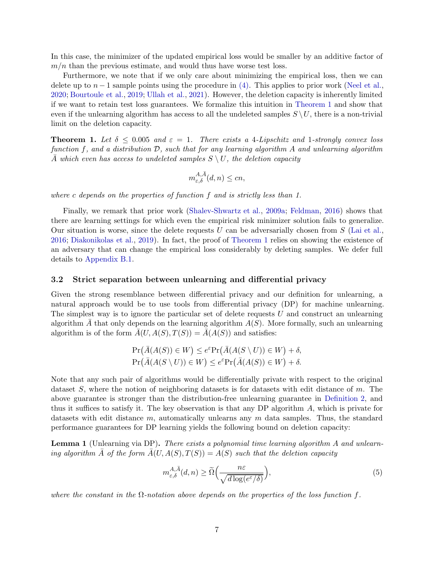In this case, the minimizer of the updated empirical loss would be smaller by an additive factor of  $m/n$  than the previous estimate, and would thus have worse test loss.

Furthermore, we note that if we only care about minimizing the empirical loss, then we can delete up to  $n-1$  sample points using the procedure in [\(4\).](#page-5-1) This applies to prior work [\(Neel et al.](#page-12-11), [2020](#page-12-11); [Bourtoule et al.](#page-11-10), [2019](#page-11-10); [Ullah et al.,](#page-13-1) [2021](#page-13-1)). However, the deletion capacity is inherently limited if we want to retain test loss guarantees. We formalize this intuition in [Theorem 1](#page-6-0) and show that even if the unlearning algorithm has access to all the undeleted samples  $S \setminus U$ , there is a non-trivial limit on the deletion capacity.

<span id="page-6-0"></span>**Theorem 1.** Let  $\delta \leq 0.005$  and  $\varepsilon = 1$ . There exists a 4-Lipschitz and 1-strongly convex loss function f, and a distribution  $\mathcal{D}$ , such that for any learning algorithm A and unlearning algorithm  $\overline{A}$  which even has access to undeleted samples  $S \setminus U$ , the deletion capacity

$$
m_{\varepsilon,\delta}^{A,\bar{A}}(d,n) \le cn,
$$

where c depends on the properties of function f and is strictly less than 1.

Finally, we remark that prior work [\(Shalev-Shwartz et al.,](#page-13-4) [2009a](#page-13-4); [Feldman,](#page-11-11) [2016\)](#page-11-11) shows that there are learning settings for which even the empirical risk minimizer solution fails to generalize. Our situation is worse, since the delete requests U can be adversarially chosen from  $S$  [\(Lai et al.](#page-12-12), [2016](#page-12-12); [Diakonikolas et al.](#page-11-12), [2019\)](#page-11-12). In fact, the proof of [Theorem 1](#page-6-0) relies on showing the existence of an adversary that can change the empirical loss considerably by deleting samples. We defer full details to [Appendix B.1.](#page-15-0)

## 3.2 Strict separation between unlearning and differential privacy

Given the strong resemblance between differential privacy and our definition for unlearning, a natural approach would be to use tools from differential privacy (DP) for machine unlearning. The simplest way is to ignore the particular set of delete requests  $U$  and construct an unlearning algorithm  $\overline{A}$  that only depends on the learning algorithm  $A(S)$ . More formally, such an unlearning algorithm is of the form  $\overline{A}(U, A(S), T(S)) = \overline{A}(A(S))$  and satisfies:

$$
\Pr(\bar{A}(A(S)) \in W) \le e^{\varepsilon} \Pr(\bar{A}(A(S \setminus U)) \in W) + \delta,
$$
  
\n
$$
\Pr(\bar{A}(A(S \setminus U)) \in W) \le e^{\varepsilon} \Pr(\bar{A}(A(S)) \in W) + \delta.
$$

Note that any such pair of algorithms would be differentially private with respect to the original dataset  $S$ , where the notion of neighboring datasets is for datasets with edit distance of m. The above guarantee is stronger than the distribution-free unlearning guarantee in [Definition 2,](#page-4-0) and thus it suffices to satisfy it. The key observation is that any DP algorithm A, which is private for datasets with edit distance  $m$ , automatically unlearns any  $m$  data samples. Thus, the standard performance guarantees for DP learning yields the following bound on deletion capacity:

<span id="page-6-1"></span>**Lemma 1** (Unlearning via DP). There exists a polynomial time learning algorithm A and unlearning algorithm  $\overline{A}$  of the form  $\overline{A}(U, A(S), T(S)) = A(S)$  such that the deletion capacity

$$
m_{\varepsilon,\delta}^{A,\bar{A}}(d,n) \ge \tilde{\Omega}\left(\frac{n\varepsilon}{\sqrt{d\log(e^{\varepsilon}/\delta)}}\right),\tag{5}
$$

where the constant in the  $\Omega$ -notation above depends on the properties of the loss function f.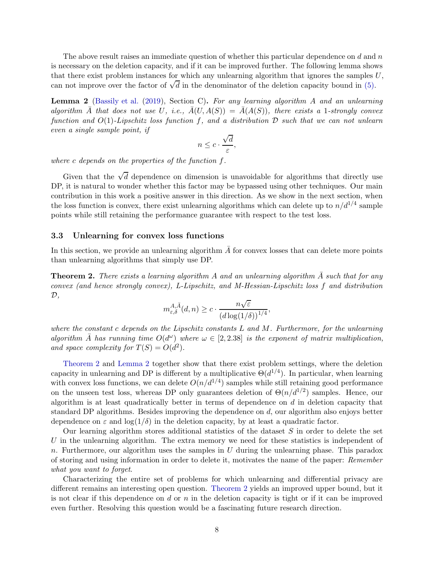The above result raises an immediate question of whether this particular dependence on  $d$  and  $n$ is necessary on the deletion capacity, and if it can be improved further. The following lemma shows that there exist problem instances for which any unlearning algorithm that ignores the samples  $U$ , can not improve over the factor of  $\sqrt{d}$  in the denominator of the deletion capacity bound in [\(5\).](#page-6-1)

<span id="page-7-1"></span>**Lemma 2** [\(Bassily et al.](#page-11-13) [\(2019\)](#page-11-13), Section C). For any learning algorithm A and an unlearning algorithm  $\overline{A}$  that does not use U, i.e.,  $\overline{A}(U, A(S)) = \overline{A}(A(S))$ , there exists a 1-strongly convex function and  $O(1)$ -Lipschitz loss function f, and a distribution  $D$  such that we can not unlearn even a single sample point, if

$$
n \leq c \cdot \frac{\sqrt{d}}{\varepsilon},
$$

where c depends on the properties of the function f.

Given that the  $\sqrt{d}$  dependence on dimension is unavoidable for algorithms that directly use DP, it is natural to wonder whether this factor may be bypassed using other techniques. Our main contribution in this work a positive answer in this direction. As we show in the next section, when the loss function is convex, there exist unlearning algorithms which can delete up to  $n/d^{1/4}$  sample points while still retaining the performance guarantee with respect to the test loss.

#### 3.3 Unlearning for convex loss functions

In this section, we provide an unlearning algorithm  $\overline{A}$  for convex losses that can delete more points than unlearning algorithms that simply use DP.

<span id="page-7-0"></span>**Theorem 2.** There exists a learning algorithm A and an unlearning algorithm  $\overline{A}$  such that for any convex (and hence strongly convex), L-Lipschitz, and M-Hessian-Lipschitz loss f and distribution  $\mathcal{D},$ 

$$
m_{\varepsilon,\delta}^{A,\bar{A}}(d,n) \ge c \cdot \frac{n\sqrt{\varepsilon}}{\left(d\log(1/\delta)\right)^{1/4}},
$$

where the constant c depends on the Lipschitz constants  $L$  and  $M$ . Furthermore, for the unlearning algorithm  $\overline{A}$  has running time  $O(d^{\omega})$  where  $\omega \in [2, 2.38]$  is the exponent of matrix multiplication, and space complexity for  $T(S) = O(d^2)$ .

[Theorem 2](#page-7-0) and [Lemma 2](#page-7-1) together show that there exist problem settings, where the deletion capacity in unlearning and DP is different by a multiplicative  $\Theta(d^{1/4})$ . In particular, when learning with convex loss functions, we can delete  $O(n/d^{1/4})$  samples while still retaining good performance on the unseen test loss, whereas DP only guarantees deletion of  $\Theta(n/d^{1/2})$  samples. Hence, our algorithm is at least quadratically better in terms of dependence on  $d$  in deletion capacity that standard DP algorithms. Besides improving the dependence on  $d$ , our algorithm also enjoys better dependence on  $\varepsilon$  and  $\log(1/\delta)$  in the deletion capacity, by at least a quadratic factor.

Our learning algorithm stores additional statistics of the dataset  $S$  in order to delete the set U in the unlearning algorithm. The extra memory we need for these statistics is independent of n. Furthermore, our algorithm uses the samples in  $U$  during the unlearning phase. This paradox of storing and using information in order to delete it, motivates the name of the paper: Remember what you want to forget.

Characterizing the entire set of problems for which unlearning and differential privacy are different remains an interesting open question. [Theorem 2](#page-7-0) yields an improved upper bound, but it is not clear if this dependence on d or  $n$  in the deletion capacity is tight or if it can be improved even further. Resolving this question would be a fascinating future research direction.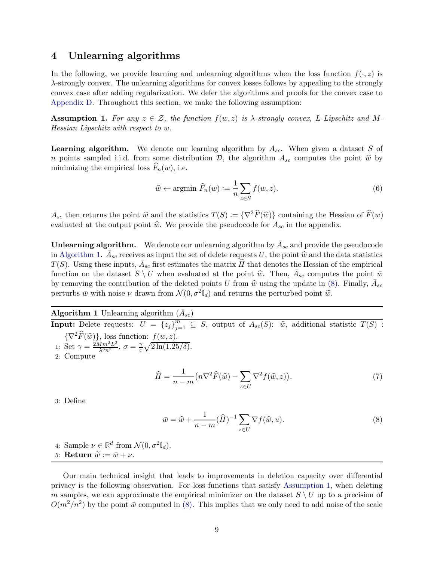## <span id="page-8-3"></span>4 Unlearning algorithms

In the following, we provide learning and unlearning algorithms when the loss function  $f(\cdot, z)$  is λ-strongly convex. The unlearning algorithms for convex losses follows by appealing to the strongly convex case after adding regularization. We defer the algorithms and proofs for the convex case to [Appendix D.](#page-24-0) Throughout this section, we make the following assumption:

<span id="page-8-1"></span>**Assumption 1.** For any  $z \in \mathcal{Z}$ , the function  $f(w, z)$  is  $\lambda$ -strongly convex, L-Lipschitz and M-Hessian Lipschitz with respect to w.

<span id="page-8-2"></span>**Learning algorithm.** We denote our learning algorithm by  $A_{sc}$ . When given a dataset S of n points sampled i.i.d. from some distribution D, the algorithm  $A_{sc}$  computes the point  $\hat{w}$  by minimizing the empirical loss  $F_n(w)$ , i.e.

$$
\widehat{w} \leftarrow \text{argmin } \widehat{F}_n(w) := \frac{1}{n} \sum_{z \in S} f(w, z). \tag{6}
$$

 $A_{sc}$  then returns the point  $\hat{w}$  and the statistics  $T(S) := {\nabla^2 \widehat{F}(\widehat{w})}$  containing the Hessian of  $\widehat{F}(w)$ evaluated at the output point  $\hat{w}$ . We provide the pseudocode for  $A_{sc}$  in the appendix.

**Unlearning algorithm.** We denote our unlearning algorithm by  $\bar{A}_{sc}$  and provide the pseudocode in [Algorithm 1.](#page-8-0)  $\bar{A}_{sc}$  receives as input the set of delete requests U, the point  $\hat{w}$  and the data statistics  $T(S)$ . Using these inputs,  $\bar{A}_{sc}$  first estimates the matrix  $\widehat{H}$  that denotes the Hessian of the empirical function on the dataset  $S \setminus U$  when evaluated at the point  $\hat{w}$ . Then,  $\bar{A}_{sc}$  computes the point  $\bar{w}$ by removing the contribution of the deleted points U from  $\hat{w}$  using the update in [\(8\).](#page-8-0) Finally,  $\bar{A}_{sc}$ perturbs  $\bar{w}$  with noise  $\nu$  drawn from  $\mathcal{N}(0, \sigma^2 \mathbb{I}_d)$  and returns the perturbed point  $\tilde{w}$ .

<span id="page-8-0"></span>**Algorithm 1** Unlearning algorithm  $(\bar{A}_{sc})$ 

**Input:** Delete requests:  $U = \{z_j\}_{j=1}^m \subseteq S$ , output of  $A_{sc}(S)$ :  $\hat{w}$ , additional statistic  $T(S)$ :  $\{\nabla^2 \widehat{F}(\widehat{w})\}\)$ , loss function:  $f(w, z)$ .

1: Set  $\gamma = \frac{2Mm^2L^2}{\lambda^3n^2}, \sigma = \frac{\gamma}{\varepsilon}$  $\frac{\gamma}{\varepsilon}\sqrt{2\ln(1.25/\delta)}.$ 

2: Compute

$$
\widehat{H} = \frac{1}{n-m} \left( n \nabla^2 \widehat{F}(\widehat{w}) - \sum_{z \in U} \nabla^2 f(\widehat{w}, z) \right). \tag{7}
$$

3: Define

$$
\bar{w} = \hat{w} + \frac{1}{n-m} (\hat{H})^{-1} \sum_{z \in U} \nabla f(\hat{w}, u).
$$
\n(8)

4: Sample  $\nu \in \mathbb{R}^d$  from  $\mathcal{N}(0, \sigma^2 \mathbb{I}_d)$ .

5: **Return**  $\widetilde{w} := \overline{w} + \nu$ .

Our main technical insight that leads to improvements in deletion capacity over differential privacy is the following observation. For loss functions that satisfy [Assumption 1,](#page-8-1) when deleting m samples, we can approximate the empirical minimizer on the dataset  $S \setminus U$  up to a precision of  $O(m^2/n^2)$  by the point  $\bar{w}$  computed in [\(8\).](#page-8-0) This implies that we only need to add noise of the scale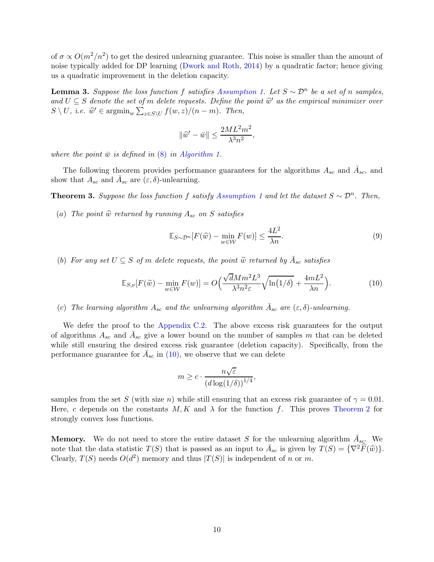of  $\sigma \propto O(m^2/n^2)$  to get the desired unlearning guarantee. This noise is smaller than the amount of noise typically added for DP learning [\(Dwork and Roth,](#page-11-14) [2014](#page-11-14)) by a quadratic factor; hence giving us a quadratic improvement in the deletion capacity.

<span id="page-9-1"></span>**Lemma 3.** Suppose the loss function f satisfies [Assumption 1.](#page-8-1) Let  $S \sim \mathcal{D}^n$  be a set of n samples, and  $U \subseteq S$  denote the set of m delete requests. Define the point  $\hat{w}'$  as the empirical minimizer over  $S \setminus U$ , *i.e.*  $\widehat{w}' \in \operatorname{argmin}_{w} \sum_{z \in S \setminus U} f(w, z) / (n - m)$ . Then,

$$
\|\widehat{w}' - \bar{w}\| \le \frac{2ML^2m^2}{\lambda^3n^2},
$$

where the point  $\bar{w}$  is defined in [\(8\)](#page-8-0) in [Algorithm 1.](#page-8-0)

The following theorem provides performance guarantees for the algorithms  $A_{sc}$  and  $\bar{A}_{sc}$ , and show that  $A_{sc}$  and  $\bar{A}_{sc}$  are  $(\varepsilon, \delta)$ -unlearning.

<span id="page-9-2"></span>**Theorem 3.** Suppose the loss function f satisfy [Assumption 1](#page-8-1) and let the dataset  $S \sim \mathcal{D}^n$ . Then,

(a) The point  $\hat{w}$  returned by running  $A_{sc}$  on S satisfies

$$
\mathbb{E}_{S \sim \mathcal{D}^n} [F(\hat{w}) - \min_{w \in \mathcal{W}} F(w)] \le \frac{4L^2}{\lambda n}.
$$
\n(9)

<span id="page-9-0"></span>(b) For any set  $U \subseteq S$  of m delete requests, the point  $\widetilde{w}$  returned by  $\overline{A}_{sc}$  satisfies

$$
\mathbb{E}_{S,\nu}[F(\tilde{w}) - \min_{w \in \mathcal{W}} F(w)] = O\left(\frac{\sqrt{d}Mm^2L^3}{\lambda^3n^2\varepsilon}\sqrt{\ln(1/\delta)} + \frac{4mL^2}{\lambda n}\right).
$$
 (10)

(c) The learning algorithm  $A_{sc}$  and the unlearning algorithm  $\bar{A}_{sc}$  are  $(\varepsilon, \delta)$ -unlearning.

We defer the proof to the [Appendix C.2.](#page-21-0) The above excess risk guarantees for the output of algorithms  $A_{sc}$  and  $\overline{A}_{sc}$  give a lower bound on the number of samples m that can be deleted while still ensuring the desired excess risk guarantee (deletion capacity). Specifically, from the performance guarantee for  $\bar{A}_{sc}$  in [\(10\),](#page-9-0) we observe that we can delete

$$
m \geq c \cdot \frac{n\sqrt{\varepsilon}}{\left(d\log(1/\delta)\right)^{1/4}},
$$

samples from the set S (with size n) while still ensuring that an excess risk guarantee of  $\gamma = 0.01$ . Here, c depends on the constants  $M, K$  and  $\lambda$  for the function f. This proves [Theorem 2](#page-7-0) for strongly convex loss functions.

**Memory.** We do not need to store the entire dataset S for the unlearning algorithm  $\bar{A}_{sc}$ . We note that the data statistic  $T(S)$  that is passed as an input to  $\bar{A}_{sc}$  is given by  $T(S) = \{\nabla^2 \widehat{F}(\widehat{w})\}.$ Clearly,  $T(S)$  needs  $O(d^2)$  memory and thus  $|T(S)|$  is independent of n or m.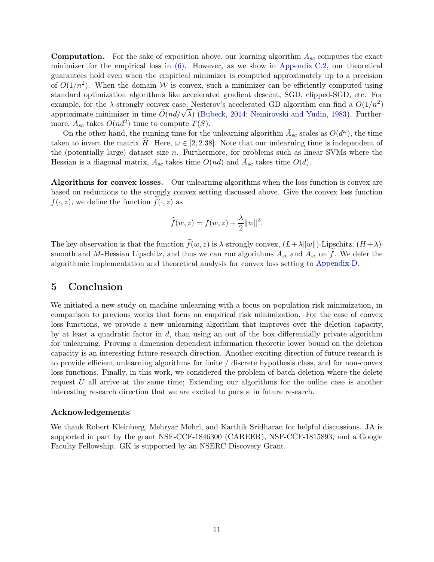**Computation.** For the sake of exposition above, our learning algorithm  $A_{sc}$  computes the exact minimizer for the empirical loss in  $(6)$ . However, as we show in [Appendix C.2,](#page-21-0) our theoretical guarantees hold even when the empirical minimizer is computed approximately up to a precision of  $O(1/n^2)$ . When the domain W is convex, such a minimizer can be efficiently computed using standard optimization algorithms like accelerated gradient descent, SGD, clipped-SGD, etc. For example, for the  $\lambda$ -strongly convex case, Nesterov's accelerated GD algorithm can find a  $O(1/n^2)$ approximate minimizer in time  $\tilde{O}(nd/\sqrt{\lambda})$  [\(Bubeck](#page-11-9), [2014;](#page-11-9) [Nemirovski and Yudin,](#page-12-13) [1983](#page-12-13)). Furthermore,  $A_{sc}$  takes  $O(nd^2)$  time to compute  $T(S)$ .

On the other hand, the running time for the unlearning algorithm  $\bar{A}_{sc}$  scales as  $O(d^{\omega})$ , the time taken to invert the matrix H. Here,  $\omega \in [2, 2.38]$ . Note that our unlearning time is independent of the (potentially large) dataset size  $n$ . Furthermore, for problems such as linear SVMs where the Hessian is a diagonal matrix,  $A_{sc}$  takes time  $O(nd)$  and  $\overline{A}_{sc}$  takes time  $O(d)$ .

Algorithms for convex losses. Our unlearning algorithms when the loss function is convex are based on reductions to the strongly convex setting discussed above. Give the convex loss function  $f(\cdot, z)$ , we define the function  $f(\cdot, z)$  as

$$
\widetilde{f}(w, z) = f(w, z) + \frac{\lambda}{2} ||w||^2.
$$

The key observation is that the function  $\tilde{f}(w, z)$  is  $\lambda$ -strongly convex,  $(L + \lambda ||w||)$ -Lipschitz,  $(H + \lambda)$ smooth and M-Hessian Lipschitz, and thus we can run algorithms  $A_{sc}$  and  $\tilde{A}_{sc}$  on  $\tilde{f}$ . We defer the algorithmic implementation and theoretical analysis for convex loss setting to [Appendix D.](#page-24-0)

## 5 Conclusion

We initiated a new study on machine unlearning with a focus on population risk minimization, in comparison to previous works that focus on empirical risk minimization. For the case of convex loss functions, we provide a new unlearning algorithm that improves over the deletion capacity, by at least a quadratic factor in  $d$ , than using an out of the box differentially private algorithm for unlearning. Proving a dimension dependent information theoretic lower bound on the deletion capacity is an interesting future research direction. Another exciting direction of future research is to provide efficient unlearning algorithms for finite / discrete hypothesis class, and for non-convex loss functions. Finally, in this work, we considered the problem of batch deletion where the delete request  $U$  all arrive at the same time; Extending our algorithms for the online case is another interesting research direction that we are excited to pursue in future research.

## Acknowledgements

We thank Robert Kleinberg, Mehryar Mohri, and Karthik Sridharan for helpful discussions. JA is supported in part by the grant NSF-CCF-1846300 (CAREER), NSF-CCF-1815893, and a Google Faculty Fellowship. GK is supported by an NSERC Discovery Grant.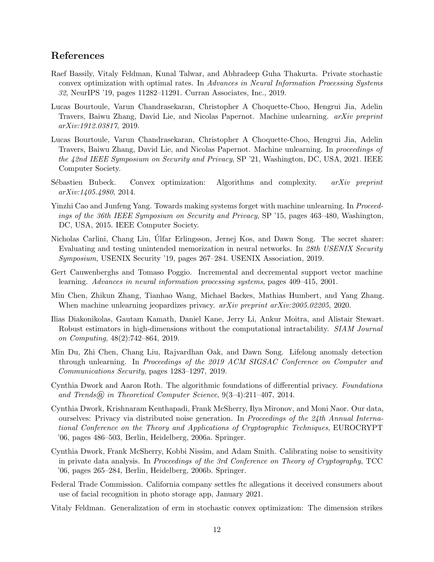# References

- <span id="page-11-13"></span>Raef Bassily, Vitaly Feldman, Kunal Talwar, and Abhradeep Guha Thakurta. Private stochastic convex optimization with optimal rates. In Advances in Neural Information Processing Systems 32, NeurIPS '19, pages 11282–11291. Curran Associates, Inc., 2019.
- <span id="page-11-10"></span>Lucas Bourtoule, Varun Chandrasekaran, Christopher A Choquette-Choo, Hengrui Jia, Adelin Travers, Baiwu Zhang, David Lie, and Nicolas Papernot. Machine unlearning. arXiv preprint arXiv:1912.03817, 2019.
- <span id="page-11-5"></span>Lucas Bourtoule, Varun Chandrasekaran, Christopher A Choquette-Choo, Hengrui Jia, Adelin Travers, Baiwu Zhang, David Lie, and Nicolas Papernot. Machine unlearning. In proceedings of the 42nd IEEE Symposium on Security and Privacy, SP '21, Washington, DC, USA, 2021. IEEE Computer Society.
- <span id="page-11-9"></span>Sébastien Bubeck. Convex optimization: Algorithms and complexity. arXiv preprint arXiv:1405.4980, 2014.
- <span id="page-11-4"></span>Yinzhi Cao and Junfeng Yang. Towards making systems forget with machine unlearning. In Proceedings of the 36th IEEE Symposium on Security and Privacy, SP '15, pages 463–480, Washington, DC, USA, 2015. IEEE Computer Society.
- <span id="page-11-0"></span>Nicholas Carlini, Chang Liu, Ulfar Erlingsson, Jernej Kos, and Dawn Song. The secret share r: Evaluating and testing unintended memorization in neural networks. In 28th USENIX Security Symposium, USENIX Security '19, pages 267–284. USENIX Association, 2019.
- <span id="page-11-7"></span>Gert Cauwenberghs and Tomaso Poggio. Incremental and decremental support vector machine learning. Advances in neural information processing systems, pages 409–415, 2001.
- <span id="page-11-6"></span>Min Chen, Zhikun Zhang, Tianhao Wang, Michael Backes, Mathias Humbert, and Yang Zhang. When machine unlearning jeopardizes privacy. *arXiv preprint arXiv:2005.02205*, 2020.
- <span id="page-11-12"></span>Ilias Diakonikolas, Gautam Kamath, Daniel Kane, Jerry Li, Ankur Moitra, and Alistair Stewart. Robust estimators in high-dimensions without the computational intractability. SIAM Journal on Computing, 48(2):742–864, 2019.
- <span id="page-11-8"></span>Min Du, Zhi Chen, Chang Liu, Rajvardhan Oak, and Dawn Song. Lifelong anomaly detection through unlearning. In Proceedings of the 2019 ACM SIGSAC Conference on Computer and Communications Security, pages 1283–1297, 2019.
- <span id="page-11-14"></span>Cynthia Dwork and Aaron Roth. The algorithmic foundations of differential privacy. Foundations and Trends $(R)$  in Theoretical Computer Science,  $9(3-4):211-407$ , 2014.
- <span id="page-11-3"></span>Cynthia Dwork, Krishnaram Kenthapadi, Frank McSherry, Ilya Mironov, and Moni Naor. Our data, ourselves: Privacy via distributed noise generation. In Proceedings of the 24th Annual International Conference on the Theory and Applications of Cryptographic Techniques, EUROCRYPT '06, pages 486–503, Berlin, Heidelberg, 2006a. Springer.
- <span id="page-11-2"></span>Cynthia Dwork, Frank McSherry, Kobbi Nissim, and Adam Smith. Calibrating noise to sensitivity in private data analysis. In Proceedings of the 3rd Conference on Theory of Cryptography, TCC '06, pages 265–284, Berlin, Heidelberg, 2006b. Springer.
- <span id="page-11-1"></span>Federal Trade Commission. California company settles ftc allegations it deceived consumers about use of facial recognition in photo storage app, January 2021.
- <span id="page-11-11"></span>Vitaly Feldman. Generalization of erm in stochastic convex optimization: The dimension strikes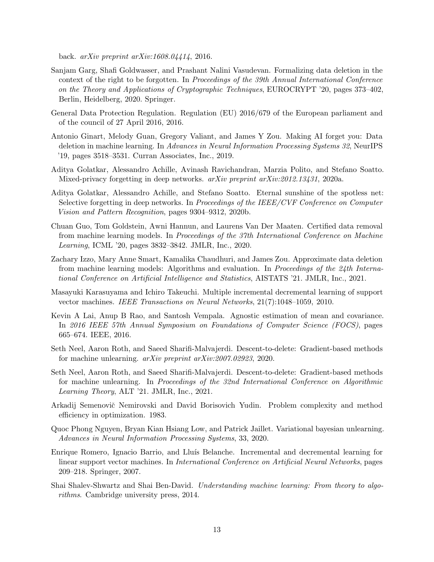back. arXiv preprint arXiv:1608.04414, 2016.

- <span id="page-12-5"></span>Sanjam Garg, Shafi Goldwasser, and Prashant Nalini Vasudevan. Formalizing data deletion in the context of the right to be forgotten. In Proceedings of the 39th Annual International Conference on the Theory and Applications of Cryptographic Techniques, EUROCRYPT '20, pages 373–402, Berlin, Heidelberg, 2020. Springer.
- <span id="page-12-0"></span>General Data Protection Regulation. Regulation (EU) 2016/679 of the European parliament and of the council of 27 April 2016, 2016.
- <span id="page-12-1"></span>Antonio Ginart, Melody Guan, Gregory Valiant, and James Y Zou. Making AI forget you: Data deletion in machine learning. In Advances in Neural Information Processing Systems 32, NeurIPS '19, pages 3518–3531. Curran Associates, Inc., 2019.
- <span id="page-12-9"></span>Aditya Golatkar, Alessandro Achille, Avinash Ravichandran, Marzia Polito, and Stefano Soatto. Mixed-privacy forgetting in deep networks.  $arXiv$  preprint  $arXiv:2012.13431$ , 2020a.
- <span id="page-12-8"></span>Aditya Golatkar, Alessandro Achille, and Stefano Soatto. Eternal sunshine of the spotless net: Selective forgetting in deep networks. In Proceedings of the IEEE/CVF Conference on Computer Vision and Pattern Recognition, pages 9304–9312, 2020b.
- <span id="page-12-2"></span>Chuan Guo, Tom Goldstein, Awni Hannun, and Laurens Van Der Maaten. Certified data removal from machine learning models. In Proceedings of the 37th International Conference on Machine Learning, ICML '20, pages 3832–3842. JMLR, Inc., 2020.
- <span id="page-12-3"></span>Zachary Izzo, Mary Anne Smart, Kamalika Chaudhuri, and James Zou. Approximate data deletion from machine learning models: Algorithms and evaluation. In Proceedings of the 24th International Conference on Artificial Intelligence and Statistics, AISTATS '21. JMLR, Inc., 2021.
- <span id="page-12-6"></span>Masayuki Karasuyama and Ichiro Takeuchi. Multiple incremental decremental learning of support vector machines. IEEE Transactions on Neural Networks, 21(7):1048–1059, 2010.
- <span id="page-12-12"></span>Kevin A Lai, Anup B Rao, and Santosh Vempala. Agnostic estimation of mean and covariance. In 2016 IEEE 57th Annual Symposium on Foundations of Computer Science (FOCS), pages 665–674. IEEE, 2016.
- <span id="page-12-11"></span>Seth Neel, Aaron Roth, and Saeed Sharifi-Malvajerdi. Descent-to-delete: Gradient-based methods for machine unlearning. arXiv preprint arXiv:2007.02923, 2020.
- <span id="page-12-4"></span>Seth Neel, Aaron Roth, and Saeed Sharifi-Malvajerdi. Descent-to-delete: Gradient-based methods for machine unlearning. In Proceedings of the 32nd International Conference on Algorithmic Learning Theory, ALT '21. JMLR, Inc., 2021.
- <span id="page-12-13"></span>Arkadij Semenovič Nemirovski and David Borisovich Yudin. Problem complexity and method efficiency in optimization. 1983.
- <span id="page-12-10"></span>Quoc Phong Nguyen, Bryan Kian Hsiang Low, and Patrick Jaillet. Variational bayesian unlearning. Advances in Neural Information Processing Systems, 33, 2020.
- <span id="page-12-7"></span>Enrique Romero, Ignacio Barrio, and Lluís Belanche. Incremental and decremental learning for linear support vector machines. In International Conference on Artificial Neural Networks, pages 209–218. Springer, 2007.
- <span id="page-12-14"></span>Shai Shalev-Shwartz and Shai Ben-David. Understanding machine learning: From theory to algorithms. Cambridge university press, 2014.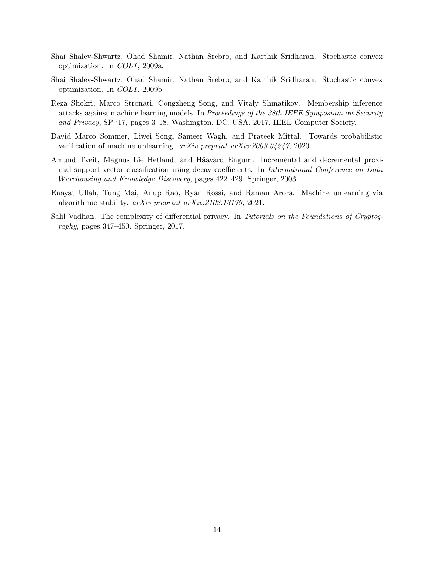- <span id="page-13-4"></span>Shai Shalev-Shwartz, Ohad Shamir, Nathan Srebro, and Karthik Sridharan. Stochastic convex optimization. In COLT, 2009a.
- <span id="page-13-6"></span>Shai Shalev-Shwartz, Ohad Shamir, Nathan Srebro, and Karthik Sridharan. Stochastic convex optimization. In COLT, 2009b.
- <span id="page-13-0"></span>Reza Shokri, Marco Stronati, Congzheng Song, and Vitaly Shmatikov. Membership inference attacks against machine learning models. In Proceedings of the 38th IEEE Symposium on Security and Privacy, SP '17, pages 3–18, Washington, DC, USA, 2017. IEEE Computer Society.
- <span id="page-13-2"></span>David Marco Sommer, Liwei Song, Sameer Wagh, and Prateek Mittal. Towards probabilistic verification of machine unlearning. arXiv preprint arXiv:2003.04247, 2020.
- <span id="page-13-3"></span>Amund Tveit, Magnus Lie Hetland, and Håavard Engum. Incremental and decremental proximal support vector classification using decay coefficients. In *International Conference on Data* Warehousing and Knowledge Discovery, pages 422–429. Springer, 2003.
- <span id="page-13-1"></span>Enayat Ullah, Tung Mai, Anup Rao, Ryan Rossi, and Raman Arora. Machine unlearning via algorithmic stability. arXiv preprint arXiv:2102.13179, 2021.
- <span id="page-13-5"></span>Salil Vadhan. The complexity of differential privacy. In Tutorials on the Foundations of Cryptography, pages 347–450. Springer, 2017.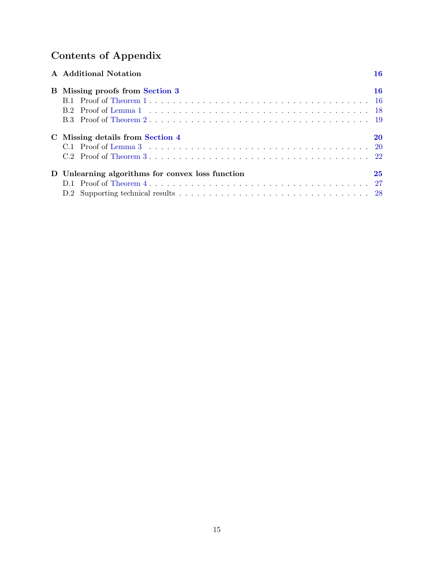# Contents of Appendix

| A Additional Notation                            | 16   |
|--------------------------------------------------|------|
| <b>B</b> Missing proofs from Section 3           | 16   |
|                                                  |      |
|                                                  |      |
|                                                  |      |
| C Missing details from Section 4                 | 20   |
|                                                  | - 20 |
|                                                  |      |
| D Unlearning algorithms for convex loss function | 25   |
|                                                  | -27  |
|                                                  |      |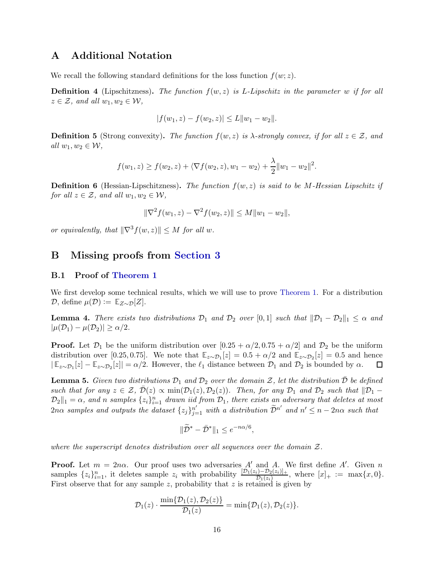# <span id="page-15-1"></span>A Additional Notation

We recall the following standard definitions for the loss function  $f(w; z)$ .

**Definition 4** (Lipschitzness). The function  $f(w, z)$  is L-Lipschitz in the parameter w if for all  $z \in \mathcal{Z}$ , and all  $w_1, w_2 \in \mathcal{W}$ ,

$$
|f(w_1, z) - f(w_2, z)| \le L \|w_1 - w_2\|.
$$

**Definition 5** (Strong convexity). The function  $f(w, z)$  is  $\lambda$ -strongly convex, if for all  $z \in \mathcal{Z}$ , and all  $w_1, w_2 \in \mathcal{W}$ ,

$$
f(w_1, z) \ge f(w_2, z) + \langle \nabla f(w_2, z), w_1 - w_2 \rangle + \frac{\lambda}{2} ||w_1 - w_2||^2.
$$

**Definition 6** (Hessian-Lipschitzness). The function  $f(w, z)$  is said to be M-Hessian Lipschitz if for all  $z \in \mathcal{Z}$ , and all  $w_1, w_2 \in \mathcal{W}$ ,

$$
\|\nabla^2 f(w_1, z) - \nabla^2 f(w_2, z)\| \le M \|w_1 - w_2\|,
$$

<span id="page-15-2"></span>or equivalently, that  $\|\nabla^3 f(w, z)\| \leq M$  for all w.

## <span id="page-15-0"></span>B Missing proofs from [Section 3](#page-5-2)

## B.1 Proof of [Theorem 1](#page-6-0)

We first develop some technical results, which we will use to prove [Theorem 1.](#page-6-0) For a distribution  $\mathcal{D}$ , define  $\mu(\mathcal{D}) := \mathbb{E}_{Z \sim \mathcal{D}}[Z]$ .

<span id="page-15-4"></span>**Lemma 4.** There exists two distributions  $\mathcal{D}_1$  and  $\mathcal{D}_2$  over [0,1] such that  $\|\mathcal{D}_1 - \mathcal{D}_2\|_1 \leq \alpha$  and  $|\mu(\mathcal{D}_1) - \mu(\mathcal{D}_2)| \ge \alpha/2.$ 

**Proof.** Let  $\mathcal{D}_1$  be the uniform distribution over  $[0.25 + \alpha/2, 0.75 + \alpha/2]$  and  $\mathcal{D}_2$  be the uniform distribution over [0.25, 0.75]. We note that  $\mathbb{E}_{z \sim \mathcal{D}_1}[z] = 0.5 + \alpha/2$  and  $\mathbb{E}_{z \sim \mathcal{D}_2}[z] = 0.5$  and hence  $|\mathbb{E}_{z \sim \mathcal{D}_1}[z] - \mathbb{E}_{z \sim \mathcal{D}_2}[z]| = \alpha/2$ . However, the  $\ell_1$  distance between  $\mathcal{D}_1$  and  $\mathcal{D}_2$  is bounded by  $\alpha$ . 囗

<span id="page-15-3"></span>**Lemma 5.** Given two distributions  $\mathcal{D}_1$  and  $\mathcal{D}_2$  over the domain  $\mathcal{Z}$ , let the distribution  $\mathcal{D}$  be defined such that for any  $z \in \mathcal{Z}$ ,  $\mathcal{D}(z) \propto \min(\mathcal{D}_1(z), \mathcal{D}_2(z))$ . Then, for any  $\mathcal{D}_1$  and  $\mathcal{D}_2$  such that  $\|\mathcal{D}_1 - \mathcal{D}_2\|$  $\mathcal{D}_2||_1 = \alpha$ , and n samples  $\{z_i\}_{i=1}^n$  drawn iid from  $\mathcal{D}_1$ , there exists an adversary that deletes at most  $2n\alpha$  samples and outputs the dataset  $\{z_j\}_{j=1}^{n'}$  with a distribution  $\widetilde{\mathcal{D}}^{n'}$  and  $n' \leq n-2n\alpha$  such that

$$
\|\widetilde{\mathcal{D}}^* - \bar{\mathcal{D}}^*\|_1 \le e^{-n\alpha/6},
$$

where the superscript denotes distribution over all sequences over the domain  $\mathcal{Z}$ .

**Proof.** Let  $m = 2n\alpha$ . Our proof uses two adversaries A' and A. We first define A'. Given n samples  $\{z_i\}_{i=1}^n$ , it deletes sample  $z_i$  with probability  $\frac{[\mathcal{D}_1(z_i)-\mathcal{D}_2(z_i)]_+}{\mathcal{D}_1(z_i)}$ , where  $[x]_+ := \max\{x,0\}$ . First observe that for any sample z, probability that z is retained is given by

$$
\mathcal{D}_1(z)\cdot \frac{\min\{\mathcal{D}_1(z),\mathcal{D}_2(z)\}}{\mathcal{D}_1(z)}=\min\{\mathcal{D}_1(z),\mathcal{D}_2(z)\}.
$$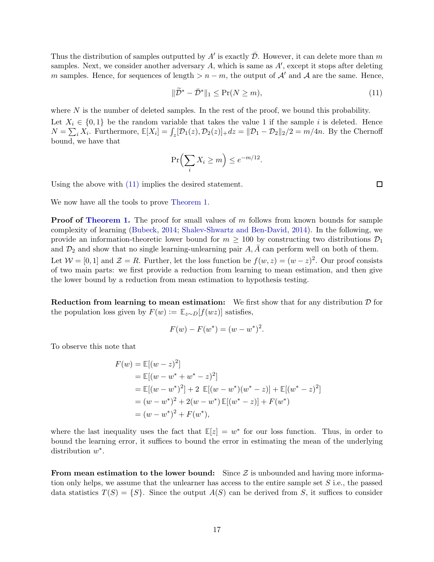Thus the distribution of samples outputted by  $A'$  is exactly  $\bar{\mathcal{D}}$ . However, it can delete more than m samples. Next, we consider another adversary  $A$ , which is same as  $A'$ , except it stops after deleting m samples. Hence, for sequences of length  $>n-m$ , the output of A' and A are the same. Hence,

$$
\|\widetilde{\mathcal{D}}^* - \bar{\mathcal{D}}^*\|_1 \le \Pr(N \ge m),\tag{11}
$$

where  $N$  is the number of deleted samples. In the rest of the proof, we bound this probability. Let  $X_i \in \{0,1\}$  be the random variable that takes the value 1 if the sample i is deleted. Hence  $N = \sum_i X_i$ . Furthermore,  $\mathbb{E}[X_i] = \int_z [\mathcal{D}_1(z), \mathcal{D}_2(z)]_+ dz = ||\mathcal{D}_1 - \mathcal{D}_2||_2/2 = m/4n$ . By the Chernoff bound, we have that

$$
\Pr\left(\sum_i X_i \ge m\right) \le e^{-m/12}.
$$

Using the above with [\(11\)](#page-15-3) implies the desired statement.

We now have all the tools to prove [Theorem 1.](#page-6-0)

**Proof of [Theorem 1.](#page-6-0)** The proof for small values of m follows from known bounds for sample complexity of learning [\(Bubeck](#page-11-9), [2014;](#page-11-9) [Shalev-Shwartz and Ben-David](#page-12-14), [2014](#page-12-14)). In the following, we provide an information-theoretic lower bound for  $m \geq 100$  by constructing two distributions  $\mathcal{D}_1$ and  $\mathcal{D}_2$  and show that no single learning-unlearning pair  $A, A$  can perform well on both of them. Let  $W = [0, 1]$  and  $\mathcal{Z} = R$ . Further, let the loss function be  $f(w, z) = (w - z)^2$ . Our proof consists of two main parts: we first provide a reduction from learning to mean estimation, and then give the lower bound by a reduction from mean estimation to hypothesis testing.

**Reduction from learning to mean estimation:** We first show that for any distribution  $\mathcal{D}$  for the population loss given by  $F(w) := \mathbb{E}_{z \sim D}[f(wz)]$  satisfies,

$$
F(w) - F(w^*) = (w - w^*)^2.
$$

To observe this note that

$$
F(w) = \mathbb{E}[(w - z)^2]
$$
  
=  $\mathbb{E}[(w - w^* + w^* - z)^2]$   
=  $\mathbb{E}[(w - w^*)^2] + 2 \mathbb{E}[(w - w^*)(w^* - z)] + \mathbb{E}[(w^* - z)^2]$   
=  $(w - w^*)^2 + 2(w - w^*) \mathbb{E}[(w^* - z)] + F(w^*)$   
=  $(w - w^*)^2 + F(w^*),$ 

where the last inequality uses the fact that  $\mathbb{E}[z] = w^*$  for our loss function. Thus, in order to bound the learning error, it suffices to bound the error in estimating the mean of the underlying distribution  $w^*$ .

<span id="page-16-0"></span>From mean estimation to the lower bound: Since  $\mathcal{Z}$  is unbounded and having more information only helps, we assume that the unlearner has access to the entire sample set S i.e., the passed data statistics  $T(S) = \{S\}$ . Since the output  $A(S)$  can be derived from S, it suffices to consider

 $\Box$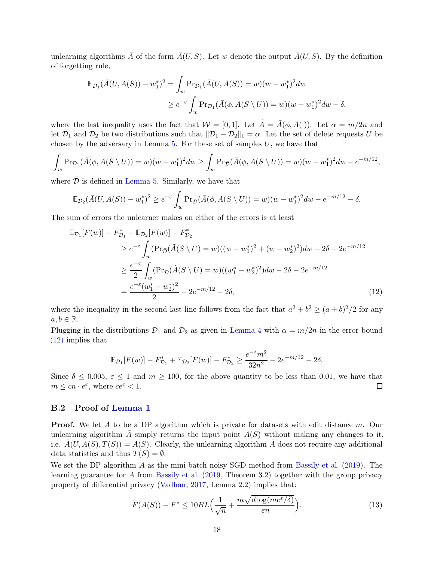unlearning algorithms  $\overline{A}$  of the form  $\overline{A}(U, S)$ . Let w denote the output  $\overline{A}(U, S)$ . By the definition of forgetting rule,

$$
\mathbb{E}_{\mathcal{D}_1}(\bar{A}(U, A(S)) - w_1^*)^2 = \int_w \Pr_{\mathcal{D}_1}(\bar{A}(U, A(S)) = w)(w - w_1^*)^2 dw
$$
  
 
$$
\geq e^{-\varepsilon} \int_w \Pr_{\mathcal{D}_1}(\bar{A}(\phi, A(S \setminus U)) = w)(w - w_1^*)^2 dw - \delta,
$$

where the last inequality uses the fact that  $W = [0, 1]$ . Let  $\tilde{A} = \bar{A}(\phi, A(\cdot))$ . Let  $\alpha = m/2n$  and let  $\mathcal{D}_1$  and  $\mathcal{D}_2$  be two distributions such that  $\|\mathcal{D}_1 - \mathcal{D}_2\|_1 = \alpha$ . Let the set of delete requests U be chosen by the adversary in Lemma [5.](#page-15-3) For these set of samples  $U$ , we have that

$$
\int_{w} \Pr_{\mathcal{D}_1}(\bar{A}(\phi, A(S \setminus U)) = w)(w - w_1^*)^2 dw \ge \int_{w} \Pr_{\bar{\mathcal{D}}}(\bar{A}(\phi, A(S \setminus U)) = w)(w - w_1^*)^2 dw - e^{-m/12},
$$

where  $\mathcal D$  is defined in [Lemma 5.](#page-15-3) Similarly, we have that

$$
\mathbb{E}_{\mathcal{D}_2}(\bar{A}(U, A(S)) - w_1^*)^2 \ge e^{-\varepsilon} \int_w \Pr_{\bar{\mathcal{D}}}(\bar{A}(\phi, A(S \setminus U)) = w)(w - w_1^*)^2 dw - e^{-m/12} - \delta.
$$

The sum of errors the unlearner makes on either of the errors is at least

$$
\mathbb{E}_{\mathcal{D}_1}[F(w)] - F_{\mathcal{D}_1}^* + \mathbb{E}_{\mathcal{D}_2}[F(w)] - F_{\mathcal{D}_2}^*
$$
\n
$$
\geq e^{-\varepsilon} \int_w (\Pr_{\bar{\mathcal{D}}}(\tilde{A}(S \setminus U) = w)((w - w_1^*)^2 + (w - w_2^*)^2) dw - 2\delta - 2e^{-m/12}
$$
\n
$$
\geq \frac{e^{-\varepsilon}}{2} \int_w (\Pr_{\bar{\mathcal{D}}}(\tilde{A}(S \setminus U) = w)((w_1^* - w_2^*)^2) dw - 2\delta - 2e^{-m/12}
$$
\n
$$
= \frac{e^{-\varepsilon}(w_1^* - w_2^*)^2}{2} - 2e^{-m/12} - 2\delta,
$$
\n(12)

where the inequality in the second last line follows from the fact that  $a^2 + b^2 \ge (a+b)^2/2$  for any  $a, b \in \mathbb{R}$ .

Plugging in the distributions  $\mathcal{D}_1$  and  $\mathcal{D}_2$  as given in [Lemma 4](#page-15-4) with  $\alpha = m/2n$  in the error bound [\(12\)](#page-16-0) implies that

$$
\mathbb{E}_{\mathcal{D}_1}[F(w)] - F_{\mathcal{D}_1}^* + \mathbb{E}_{\mathcal{D}_2}[F(w)] - F_{\mathcal{D}_2}^* \ge \frac{e^{-\varepsilon}m^2}{32n^2} - 2e^{-m/12} - 2\delta.
$$

Since  $\delta \leq 0.005$ ,  $\varepsilon \leq 1$  and  $m \geq 100$ , for the above quantity to be less than 0.01, we have that  $m \leq cn \cdot e^{\varepsilon}$ , where  $ce^{\varepsilon} < 1$ .  $m \leq cn \cdot e^{\varepsilon}$ , where  $ce^{\varepsilon} < 1$ .

## <span id="page-17-0"></span>B.2 Proof of [Lemma 1](#page-6-1)

**Proof.** We let A to be a DP algorithm which is private for datasets with edit distance m. Our unlearning algorithm A simply returns the input point  $A(S)$  without making any changes to it, i.e.  $\bar{A}(U, A(S), T(S)) = A(S)$ . Clearly, the unlearning algorithm  $\bar{A}$  does not require any additional data statistics and thus  $T(S) = \emptyset$ .

We set the DP algorithm  $\tilde{A}$  as the mini-batch noisy SGD method from [Bassily et al.](#page-11-13) [\(2019](#page-11-13)). The learning guarantee for A from [Bassily et al.](#page-11-13) [\(2019](#page-11-13), Theorem 3.2) together with the group privacy property of differential privacy [\(Vadhan](#page-13-5), [2017,](#page-13-5) Lemma 2.2) implies that:

$$
F(A(S)) - F^* \le 10BL\left(\frac{1}{\sqrt{n}} + \frac{m\sqrt{d\log(me^{\varepsilon}/\delta)}}{\varepsilon n}\right).
$$
\n(13)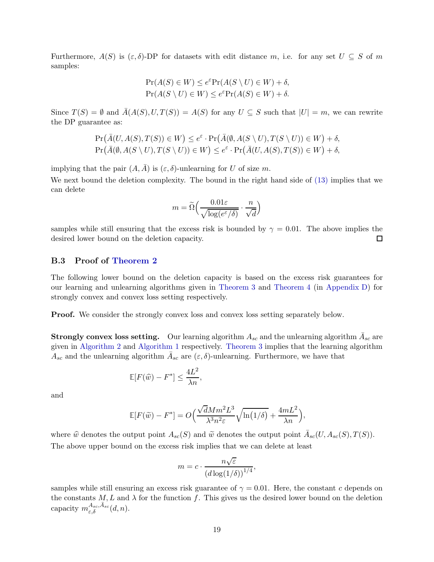Furthermore,  $A(S)$  is  $(\varepsilon, \delta)$ -DP for datasets with edit distance m, i.e. for any set  $U \subseteq S$  of m samples:

$$
Pr(A(S) \in W) \le e^{\varepsilon} Pr(A(S \setminus U) \in W) + \delta,
$$
  
 
$$
Pr(A(S \setminus U) \in W) \le e^{\varepsilon} Pr(A(S) \in W) + \delta.
$$

Since  $T(S) = \emptyset$  and  $\overline{A}(A(S), U, T(S)) = A(S)$  for any  $U \subseteq S$  such that  $|U| = m$ , we can rewrite the DP guarantee as:

$$
\Pr(\bar{A}(U, A(S), T(S)) \in W) \le e^{\varepsilon} \cdot \Pr(\bar{A}(\emptyset, A(S \setminus U), T(S \setminus U)) \in W) + \delta,
$$
  
\n
$$
\Pr(\bar{A}(\emptyset, A(S \setminus U), T(S \setminus U)) \in W) \le e^{\varepsilon} \cdot \Pr(\bar{A}(U, A(S), T(S)) \in W) + \delta,
$$

implying that the pair  $(A, \overline{A})$  is  $(\varepsilon, \delta)$ -unlearning for U of size m.

We next bound the deletion complexity. The bound in the right hand side of [\(13\)](#page-17-0) implies that we can delete

$$
m = \widetilde{\Omega}\Big(\frac{0.01\varepsilon}{\sqrt{\log(e^{\varepsilon}/\delta)}} \cdot \frac{n}{\sqrt{d}}\Big)
$$

samples while still ensuring that the excess risk is bounded by  $\gamma = 0.01$ . The above implies the desired lower bound on the deletion capacity. 口

## <span id="page-18-0"></span>B.3 Proof of [Theorem 2](#page-7-0)

The following lower bound on the deletion capacity is based on the excess risk guarantees for our learning and unlearning algorithms given in [Theorem 3](#page-9-2) and [Theorem 4](#page-25-0) (in [Appendix D\)](#page-24-0) for strongly convex and convex loss setting respectively.

Proof. We consider the strongly convex loss and convex loss setting separately below.

**Strongly convex loss setting.** Our learning algorithm  $A_{sc}$  and the unlearning algorithm  $\bar{A}_{sc}$  are given in [Algorithm 2](#page-22-0) and [Algorithm 1](#page-8-0) respectively. [Theorem 3](#page-9-2) implies that the learning algorithm  $A_{sc}$  and the unlearning algorithm  $\bar{A}_{sc}$  are  $(\varepsilon, \delta)$ -unlearning. Furthermore, we have that

$$
\mathbb{E}[F(\widehat{w}) - F^*] \le \frac{4L^2}{\lambda n},
$$

and

$$
\mathbb{E}[F(\widetilde{w}) - F^*] = O\left(\frac{\sqrt{d}Mm^2L^3}{\lambda^3n^2\varepsilon}\sqrt{\ln(1/\delta)} + \frac{4mL^2}{\lambda n}\right),\,
$$

where  $\hat{w}$  denotes the output point  $A_{sc}(S)$  and  $\tilde{w}$  denotes the output point  $\bar{A}_{sc}(U, A_{sc}(S), T(S))$ . The above upper bound on the excess risk implies that we can delete at least

$$
m = c \cdot \frac{n\sqrt{\varepsilon}}{\left(d\log(1/\delta)\right)^{1/4}},
$$

samples while still ensuring an excess risk guarantee of  $\gamma = 0.01$ . Here, the constant c depends on the constants  $M, L$  and  $\lambda$  for the function f. This gives us the desired lower bound on the deletion capacity  $m_{\varepsilon,\delta}^{A_{sc},\bar{A}_{sc}}(d,n)$ .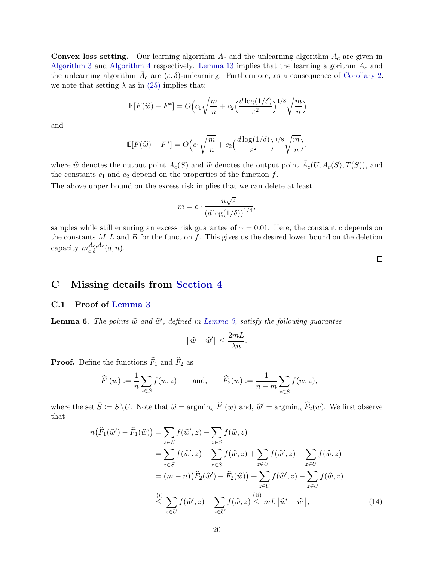**Convex loss setting.** Our learning algorithm  $A_c$  and the unlearning algorithm  $\bar{A}_c$  are given in [Algorithm 3](#page-24-1) and [Algorithm 4](#page-25-1) respectively. [Lemma 13](#page-27-1) implies that the learning algorithm  $A_c$  and the unlearning algorithm  $\bar{A}_c$  are  $(\varepsilon, \delta)$ -unlearning. Furthermore, as a consequence of [Corollary 2,](#page-25-2) we note that setting  $\lambda$  as in [\(25\)](#page-25-2) implies that:

$$
\mathbb{E}[F(\widehat{w}) - F^*] = O\Big(c_1\sqrt{\frac{m}{n}} + c_2\Big(\frac{d\log(1/\delta)}{\varepsilon^2}\Big)^{1/8}\sqrt{\frac{m}{n}}\Big)
$$

and

$$
\mathbb{E}[F(\widetilde{w}) - F^*] = O\Big(c_1\sqrt{\frac{m}{n}} + c_2\Big(\frac{d\log(1/\delta)}{\varepsilon^2}\Big)^{1/8}\sqrt{\frac{m}{n}}\Big),\,
$$

where  $\hat{w}$  denotes the output point  $A_c(S)$  and  $\tilde{w}$  denotes the output point  $\bar{A}_c(U, A_c(S), T(S))$ , and the constants  $c_1$  and  $c_2$  depend on the properties of the function  $f$ .

The above upper bound on the excess risk implies that we can delete at least

$$
m = c \cdot \frac{n\sqrt{\varepsilon}}{\left(d\log(1/\delta)\right)^{1/4}},
$$

samples while still ensuring an excess risk guarantee of  $\gamma = 0.01$ . Here, the constant c depends on the constants  $M, L$  and  $B$  for the function  $f$ . This gives us the desired lower bound on the deletion capacity  $m_{\varepsilon,\delta}^{A_c,\bar{A}_c}(d,n)$ .

 $\Box$ 

# <span id="page-19-1"></span><span id="page-19-0"></span>C Missing details from [Section 4](#page-8-3)

## C.1 Proof of [Lemma 3](#page-9-1)

<span id="page-19-2"></span>**Lemma 6.** The points  $\widehat{w}$  and  $\widehat{w}'$ , defined in [Lemma 3,](#page-9-1) satisfy the following guarantee

$$
\|\widehat{w} - \widehat{w}'\| \le \frac{2mL}{\lambda n}.
$$

**Proof.** Define the functions  $\widehat{F}_1$  and  $\widehat{F}_2$  as

$$
\widehat{F}_1(w) := \frac{1}{n} \sum_{z \in S} f(w, z) \quad \text{and,} \quad \widehat{F}_2(w) := \frac{1}{n - m} \sum_{z \in \overline{S}} f(w, z),
$$

where the set  $\bar{S} := S \setminus U$ . Note that  $\hat{w} = \operatorname{argmin}_{w} \hat{F}_1(w)$  and,  $\hat{w}' = \operatorname{argmin}_{w} \hat{F}_2(w)$ . We first observe that

$$
n(\widehat{F}_1(\widehat{w}') - \widehat{F}_1(\widehat{w})) = \sum_{z \in S} f(\widehat{w}', z) - \sum_{z \in S} f(\widehat{w}, z)
$$
  
\n
$$
= \sum_{z \in \overline{S}} f(\widehat{w}', z) - \sum_{z \in \overline{S}} f(\widehat{w}, z) + \sum_{z \in U} f(\widehat{w}', z) - \sum_{z \in U} f(\widehat{w}, z)
$$
  
\n
$$
= (m - n)(\widehat{F}_2(\widehat{w}') - \widehat{F}_2(\widehat{w})) + \sum_{z \in U} f(\widehat{w}', z) - \sum_{z \in U} f(\widehat{w}, z)
$$
  
\n
$$
\stackrel{(i)}{\leq} \sum_{z \in U} f(\widehat{w}', z) - \sum_{z \in U} f(\widehat{w}, z) \stackrel{(ii)}{\leq} mL ||\widehat{w}' - \widehat{w}||,
$$
 (14)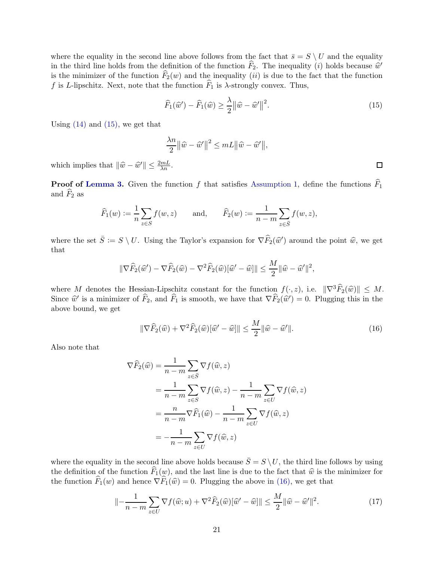where the equality in the second line above follows from the fact that  $\bar{s} = S \setminus U$  and the equality in the third line holds from the definition of the function  $\widehat{F}_2$ . The inequality (i) holds because  $\widehat{w}'$ is the minimizer of the function  $\tilde{F}_2(w)$  and the inequality *(ii)* is due to the fact that the function f is L-lipschitz. Next, note that the function  $\widehat{F}_1$  is  $\lambda$ -strongly convex. Thus,

$$
\widehat{F}_1(\widehat{w}') - \widehat{F}_1(\widehat{w}) \ge \frac{\lambda}{2} ||\widehat{w} - \widehat{w}'||^2.
$$
\n(15)

Using  $(14)$  and  $(15)$ , we get that

$$
\frac{\lambda n}{2} ||\widehat{w} - \widehat{w}' ||^2 \le mL ||\widehat{w} - \widehat{w}' ||,
$$

which implies that  $\|\widehat{w} - \widehat{w}'\| \le \frac{2mL}{\lambda n}$ .

**Proof of [Lemma 3.](#page-9-1)** Given the function f that satisfies [Assumption 1,](#page-8-1) define the functions  $\widehat{F}_1$ and  $F_2$  as

$$
\widehat{F}_1(w) := \frac{1}{n} \sum_{z \in S} f(w, z) \quad \text{and,} \quad \widehat{F}_2(w) := \frac{1}{n - m} \sum_{z \in \overline{S}} f(w, z),
$$

where the set  $\bar{S} := S \setminus U$ . Using the Taylor's expansion for  $\nabla \widehat{F}_2(\widehat{w}')$  around the point  $\widehat{w}$ , we get that

$$
\|\nabla \widehat{F}_2(\widehat{w}') - \nabla \widehat{F}_2(\widehat{w}) - \nabla^2 \widehat{F}_2(\widehat{w})[\widehat{w}' - \widehat{w}]\| \le \frac{M}{2} \|\widehat{w} - \widehat{w}'\|^2,
$$

where M denotes the Hessian-Lipschitz constant for the function  $f(\cdot, z)$ , i.e.  $\|\nabla^3 \widehat{F}_2(\widehat{w})\| \leq M$ . Since  $\hat{w}'$  is a minimizer of  $\hat{F}_2$ , and  $\hat{F}_1$  is smooth, we have that  $\nabla \hat{F}_2(\hat{w}') = 0$ . Plugging this in the above bound, we get

$$
\|\nabla \widehat{F}_2(\widehat{w}) + \nabla^2 \widehat{F}_2(\widehat{w})[\widehat{w}' - \widehat{w}]\| \le \frac{M}{2} \|\widehat{w} - \widehat{w}'\|.
$$
\n(16)

Also note that

$$
\nabla \widehat{F}_2(\widehat{w}) = \frac{1}{n-m} \sum_{z \in \overline{S}} \nabla f(\widehat{w}, z)
$$
  
= 
$$
\frac{1}{n-m} \sum_{z \in S} \nabla f(\widehat{w}, z) - \frac{1}{n-m} \sum_{z \in U} \nabla f(\widehat{w}, z)
$$
  
= 
$$
\frac{n}{n-m} \nabla \widehat{F}_1(\widehat{w}) - \frac{1}{n-m} \sum_{z \in U} \nabla f(\widehat{w}, z)
$$
  
= 
$$
-\frac{1}{n-m} \sum_{z \in U} \nabla f(\widehat{w}, z)
$$

where the equality in the second line above holds because  $\bar{S} = S \setminus U$ , the third line follows by using the definition of the function  $\widehat{F}_1(w)$ , and the last line is due to the fact that  $\widehat{w}$  is the minimizer for the function  $\widehat{F}_1(w)$  and hence  $\nabla \widehat{F}_1(\widehat{w}) = 0$ . Plugging the above in [\(16\),](#page-19-2) we get that

$$
\| -\frac{1}{n-m} \sum_{z \in U} \nabla f(\widehat{w}; u) + \nabla^2 \widehat{F}_2(\widehat{w}) [\widehat{w}' - \widehat{w}] \| \le \frac{M}{2} \|\widehat{w} - \widehat{w}'\|^2. \tag{17}
$$

 $\Box$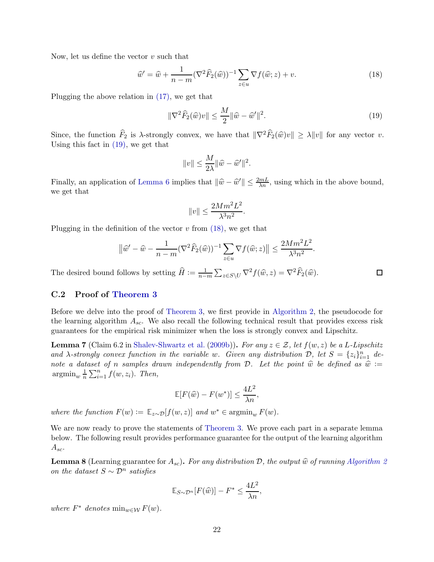Now, let us define the vector  $v$  such that

$$
\widehat{w}' = \widehat{w} + \frac{1}{n-m} (\nabla^2 \widehat{F}_2(\widehat{w}))^{-1} \sum_{z \in u} \nabla f(\widehat{w}; z) + v.
$$
\n(18)

Plugging the above relation in [\(17\),](#page-19-2) we get that

$$
\|\nabla^2 \widehat{F}_2(\widehat{w})v\| \le \frac{M}{2} \|\widehat{w} - \widehat{w}'\|^2. \tag{19}
$$

 $\Box$ 

Since, the function  $\widehat{F}_2$  is  $\lambda$ -strongly convex, we have that  $\|\nabla^2 \widehat{F}_2(\widehat{w})v\| \ge \lambda \|v\|$  for any vector v. Using this fact in [\(19\),](#page-19-2) we get that

$$
||v|| \leq \frac{M}{2\lambda} ||\widehat{w} - \widehat{w}'||^2.
$$

Finally, an application of [Lemma 6](#page-19-2) implies that  $\|\hat{w} - \hat{w}'\| \le \frac{2mL}{\lambda n}$ , using which in the above bound, we get that

$$
||v|| \le \frac{2Mm^2L^2}{\lambda^3n^2}.
$$

Plugging in the definition of the vector  $v$  from  $(18)$ , we get that

$$
\left\|\hat{w}' - \hat{w} - \frac{1}{n-m}(\nabla^2 \widehat{F}_2(\widehat{w}))^{-1} \sum_{z \in u} \nabla f(\widehat{w}; z)\right\| \le \frac{2Mm^2L^2}{\lambda^3 n^2}.
$$

The desired bound follows by setting  $\widehat{H} := \frac{1}{n-1}$  $\frac{1}{n-m} \sum_{z \in S \setminus U} \nabla^2 f(\widehat{w}, z) = \nabla^2 \widehat{F}_2(\widehat{w}).$ 

## <span id="page-21-0"></span>C.2 Proof of [Theorem 3](#page-9-2)

Before we delve into the proof of [Theorem 3,](#page-9-2) we first provide in [Algorithm 2,](#page-22-0) the pseudocode for the learning algorithm  $A_{sc}$ . We also recall the following technical result that provides excess risk guarantees for the empirical risk minimizer when the loss is strongly convex and Lipschitz.

<span id="page-21-2"></span>**Lemma 7** (Claim 6.2 in [Shalev-Shwartz et al.](#page-13-6) [\(2009b](#page-13-6))). For any  $z \in \mathcal{Z}$ , let  $f(w, z)$  be a L-Lipschitz and  $\lambda$ -strongly convex function in the variable w. Given any distribution  $\mathcal{D}$ , let  $S = \{z_i\}_{i=1}^n$  denote a dataset of n samples drawn independently from D. Let the point  $\hat{w}$  be defined as  $\hat{w} :=$  $\operatorname{argmin}_{w} \frac{1}{n}$  $\frac{1}{n} \sum_{i=1}^{n} f(w, z_i)$ . Then,

$$
\mathbb{E}[F(\widehat{w}) - F(w^*)] \le \frac{4L^2}{\lambda n},
$$

where the function  $F(w) := \mathbb{E}_{z \sim \mathcal{D}}[f(w, z)]$  and  $w^* \in \operatorname{argmin}_w F(w)$ .

We are now ready to prove the statements of [Theorem 3.](#page-9-2) We prove each part in a separate lemma below. The following result provides performance guarantee for the output of the learning algorithm  $A_{sc}.$ 

<span id="page-21-1"></span>**Lemma 8** (Learning guarantee for  $A_{sc}$ ). For any distribution D, the output  $\hat{w}$  of running [Algorithm 2](#page-22-0) on the dataset  $S \sim \mathcal{D}^n$  satisfies

$$
\mathbb{E}_{S \sim \mathcal{D}^n} [F(\widehat{w})] - F^* \le \frac{4L^2}{\lambda n},
$$

where  $F^*$  denotes  $\min_{w \in \mathcal{W}} F(w)$ .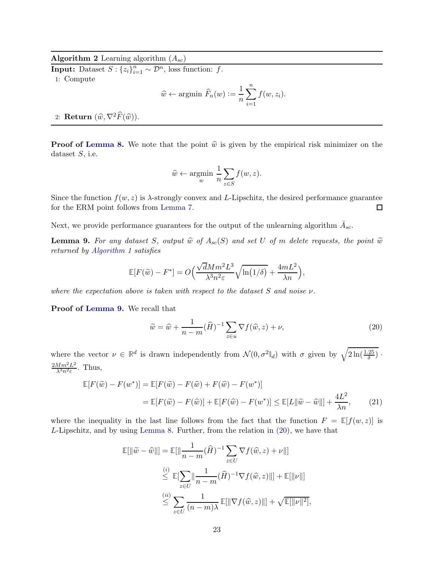<span id="page-22-0"></span>**Algorithm 2** Learning algorithm  $(A_{sc})$ 

**Input:** Dataset  $S: \{z_i\}_{i=1}^n \sim \mathcal{D}^n$ , loss function: f. 1: Compute

$$
\widehat{w} \leftarrow \text{argmin } \widehat{F}_n(w) := \frac{1}{n} \sum_{i=1}^n f(w, z_i).
$$

2: Return  $(\widehat{w}, \nabla^2 \widehat{F}(\widehat{w}))$ .

**Proof of [Lemma 8.](#page-21-1)** We note that the point  $\hat{w}$  is given by the empirical risk minimizer on the dataset  $S$ , i.e.

$$
\widehat{w} \leftarrow \underset{w}{\text{argmin}} \frac{1}{n} \sum_{z \in S} f(w, z).
$$

Since the function  $f(w, z)$  is  $\lambda$ -strongly convex and L-Lipschitz, the desired performance guarantee for the ERM point follows from [Lemma 7.](#page-21-2)  $\Box$ 

Next, we provide performance guarantees for the output of the unlearning algorithm  $\bar{A}_{sc}$ .

<span id="page-22-1"></span>**Lemma 9.** For any dataset S, output  $\hat{w}$  of  $A_{sc}(S)$  and set U of m delete requests, the point  $\tilde{w}$ returned by [Algorithm 1](#page-8-0) satisfies

$$
\mathbb{E}[F(\widetilde{w}) - F^*] = O\left(\frac{\sqrt{d}Mm^2L^3}{\lambda^3n^2\varepsilon}\sqrt{\ln(1/\delta)} + \frac{4mL^2}{\lambda n}\right),
$$

where the expectation above is taken with respect to the dataset  $S$  and noise  $\nu$ .

Proof of [Lemma 9.](#page-22-1) We recall that

$$
\widetilde{w} = \widehat{w} + \frac{1}{n-m} (\widehat{H})^{-1} \sum_{z \in u} \nabla f(\widehat{w}, z) + \nu,
$$
\n(20)

where the vector  $\nu \in \mathbb{R}^d$  is drawn independently from  $\mathcal{N}(0, \sigma^2 \mathbb{I}_d)$  with  $\sigma$  given by  $\sqrt{2\ln(\frac{1.25}{\delta})}$ .  $2Mm^2L^2$  $\frac{Mm^2L^2}{\lambda^3n^2\varepsilon}$ . Thus,

$$
\mathbb{E}[F(\widetilde{w}) - F(w^*)] = \mathbb{E}[F(\widetilde{w}) - F(\widehat{w}) + F(\widehat{w}) - F(w^*)]
$$
  
= 
$$
\mathbb{E}[F(\widetilde{w}) - F(\widehat{w})] + \mathbb{E}[F(\widehat{w}) - F(w^*)] \le \mathbb{E}[L\|\widetilde{w} - \widehat{w}\|\ + \frac{4L^2}{\lambda n}, \qquad (21)
$$

where the inequality in the last line follows from the fact that the function  $F = \mathbb{E}[f(w, z)]$  is L-Lipschitz, and by using [Lemma 8.](#page-21-1) Further, from the relation in [\(20\),](#page-22-1) we have that

$$
\mathbb{E}[\|\widetilde{w} - \widehat{w}\|] = \mathbb{E}[\|\frac{1}{n-m}(\widehat{H})^{-1} \sum_{z \in U} \nabla f(\widehat{w}, z) + \nu\|]
$$
  

$$
\leq \mathbb{E}[\sum_{z \in U} \|\frac{1}{n-m}(\widehat{H})^{-1} \nabla f(\widehat{w}, z)\|] + \mathbb{E}[\| \nu\|]
$$
  

$$
\leq \sum_{z \in U} \frac{1}{(n-m)\lambda} \mathbb{E}[\|\nabla f(\widehat{w}, z)\|] + \sqrt{\mathbb{E}[\| \nu\|^2]},
$$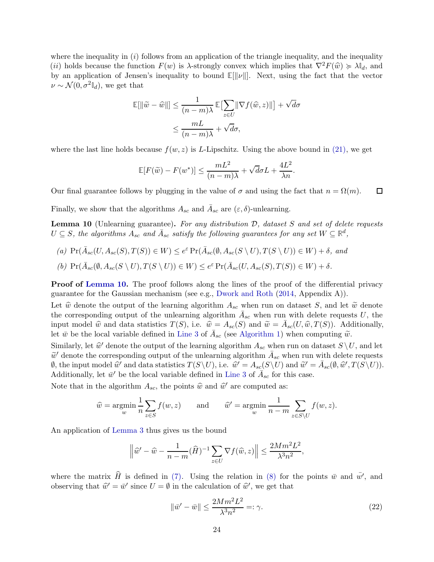where the inequality in  $(i)$  follows from an application of the triangle inequality, and the inequality (ii) holds because the function  $F(w)$  is  $\lambda$ -strongly convex which implies that  $\nabla^2 F(\widehat{w}) \succcurlyeq \lambda \mathbb{I}_d$ , and by an application of Jensen's inequality to bound  $\mathbb{E}[\|\nu\|]$ . Next, using the fact that the vector  $\nu \sim \mathcal{N}(0, \sigma^2 \mathbb{I}_d)$ , we get that

$$
\mathbb{E}[\|\widetilde{w} - \widehat{w}\|] \le \frac{1}{(n-m)\lambda} \mathbb{E}[\sum_{z \in U} \|\nabla f(\widehat{w}, z)\|] + \sqrt{d}\sigma
$$

$$
\le \frac{mL}{(n-m)\lambda} + \sqrt{d}\sigma,
$$

where the last line holds because  $f(w, z)$  is L-Lipschitz. Using the above bound in [\(21\),](#page-22-1) we get

$$
\mathbb{E}[F(\widetilde{w}) - F(w^*)] \le \frac{mL^2}{(n-m)\lambda} + \sqrt{d}\sigma L + \frac{4L^2}{\lambda n}.
$$

Our final guarantee follows by plugging in the value of  $\sigma$  and using the fact that  $n = \Omega(m)$ .  $\Box$ 

Finally, we show that the algorithms  $A_{sc}$  and  $\bar{A}_{sc}$  are  $(\varepsilon, \delta)$ -unlearning.

<span id="page-23-0"></span>**Lemma 10** (Unlearning guarantee). For any distribution  $D$ , dataset S and set of delete requests  $U \subseteq S$ , the algorithms  $A_{sc}$  and  $\bar{A}_{sc}$  satisfy the following guarantees for any set  $W \subseteq \mathbb{R}^d$ ,

<span id="page-23-1"></span>(a)  $Pr(\bar{A}_{sc}(U, A_{sc}(S), T(S)) \in W) \leq e^{\varepsilon} Pr(\bar{A}_{sc}(\emptyset, A_{sc}(S \setminus U), T(S \setminus U)) \in W) + \delta$ , and (b)  $\Pr(\bar{A}_{sc}(\emptyset, A_{sc}(S \setminus U), T(S \setminus U)) \in W) \leq e^{\varepsilon} \Pr(\bar{A}_{sc}(U, A_{sc}(S), T(S)) \in W) + \delta.$ 

**Proof of [Lemma 10.](#page-23-0)** The proof follows along the lines of the proof of the differential privacy guarantee for the Gaussian mechanism (see e.g., [Dwork and Roth](#page-11-14) [\(2014](#page-11-14), Appendix A)).

Let  $\hat{w}$  denote the output of the learning algorithm  $A_{sc}$  when run on dataset S, and let  $\tilde{w}$  denote the corresponding output of the unlearning algorithm  $\bar{A}_{sc}$  when run with delete requests U, the input model  $\hat{w}$  and data statistics  $T(S)$ , i.e.  $\hat{w} = A_{sc}(S)$  and  $\tilde{w} = \bar{A}_{sc}(U, \hat{w}, T(S))$ . Additionally, let  $\bar{w}$  be the local variable defined in [Line 3](#page-8-0) of  $\bar{A}_{sc}$  (see [Algorithm 1\)](#page-8-0) when computing  $\tilde{w}$ .

Similarly, let  $\hat{w}'$  denote the output of the learning algorithm  $A_{sc}$  when run on dataset  $S \setminus U$ , and let  $\widetilde{w}'$  denote the corresponding output of the unlearning algorithm  $\overline{A}_{sc}$  when run with delete requests  $\emptyset$ , the input model  $\hat{w}'$  and data statistics  $T(S\backslash U)$ , i.e.  $\hat{w}' = A_{sc}(S\backslash U)$  and  $\tilde{w}' = \bar{A}_{sc}(\emptyset, \hat{w}', T(S\backslash U))$ . Additionally, let  $\bar{w}'$  be the local variable defined in [Line 3](#page-8-0) of  $\bar{A}_{sc}$  for this case.

Note that in the algorithm  $A_{sc}$ , the points  $\hat{w}$  and  $\hat{w}'$  are computed as:

$$
\widehat{w} = \operatorname*{argmin}_{w} \frac{1}{n} \sum_{z \in S} f(w, z) \quad \text{and} \quad \widehat{w}' = \operatorname*{argmin}_{w} \frac{1}{n - m} \sum_{z \in S \setminus U} f(w, z).
$$

An application of [Lemma 3](#page-9-1) thus gives us the bound

$$
\left\|\widehat{w}' - \widehat{w} - \frac{1}{n-m}(\widehat{H})^{-1} \sum_{z \in U} \nabla f(\widehat{w}, z)\right\| \le \frac{2Mm^2L^2}{\lambda^3 n^2},
$$

where the matrix  $\hat{H}$  is defined in [\(7\).](#page-8-0) Using the relation in [\(8\)](#page-8-0) for the points  $\bar{w}$  and  $\bar{w'}$ , and observing that  $\hat{w}' = \bar{w}'$  since  $U = \emptyset$  in the calculation of  $\hat{w}'$ , we get that

$$
\|\bar{w}' - \bar{w}\| \le \frac{2Mm^2L^2}{\lambda^3 n^2} =: \gamma.
$$
\n
$$
(22)
$$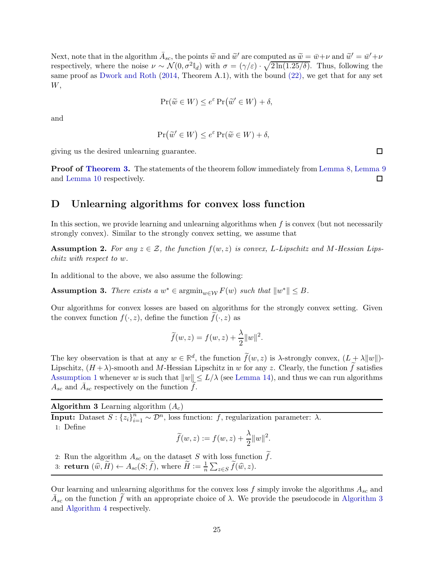Next, note that in the algorithm  $\bar{A}_{sc}$ , the points  $\tilde{w}$  and  $\tilde{w}'$  are computed as  $\tilde{w} = \bar{w} + \nu$  and  $\tilde{w}' = \bar{w}' + \nu$ respectively, where the noise  $\nu \sim \mathcal{N}(0, \sigma^2 \mathbb{I}_d)$  with  $\sigma = (\gamma/\varepsilon) \cdot \sqrt{2\ln(1.25/\delta)}$ . Thus, following the same proof as [Dwork and Roth](#page-11-14) [\(2014](#page-11-14), Theorem A.1), with the bound [\(22\),](#page-23-1) we get that for any set W,

$$
\Pr(\widetilde{w} \in W) \le e^{\varepsilon} \Pr(\widetilde{w}' \in W) + \delta,
$$

and

$$
\Pr(\widetilde{w}' \in W) \le e^{\varepsilon} \Pr(\widetilde{w} \in W) + \delta,
$$

giving us the desired unlearning guarantee.

Proof of [Theorem 3.](#page-9-2) The statements of the theorem follow immediately from [Lemma 8,](#page-21-1) [Lemma 9](#page-22-1) and [Lemma 10](#page-23-0) respectively.  $\Box$ 

## <span id="page-24-0"></span>D Unlearning algorithms for convex loss function

In this section, we provide learning and unlearning algorithms when  $f$  is convex (but not necessarily strongly convex). Similar to the strongly convex setting, we assume that

<span id="page-24-2"></span>**Assumption 2.** For any  $z \in \mathcal{Z}$ , the function  $f(w, z)$  is convex, L-Lipschitz and M-Hessian Lipschitz with respect to w.

In additional to the above, we also assume the following:

<span id="page-24-3"></span>**Assumption 3.** There exists a  $w^* \in \operatorname{argmin}_{w \in \mathcal{W}} F(w)$  such that  $||w^*|| \leq B$ .

Our algorithms for convex losses are based on algorithms for the strongly convex setting. Given the convex function  $f(\cdot, z)$ , define the function  $\tilde{f}(\cdot, z)$  as

$$
\widetilde{f}(w, z) = f(w, z) + \frac{\lambda}{2} ||w||^2.
$$

The key observation is that at any  $w \in \mathbb{R}^d$ , the function  $\tilde{f}(w, z)$  is  $\lambda$ -strongly convex,  $(L + \lambda ||w||)$ -Lipschitz,  $(H + \lambda)$ -smooth and M-Hessian Lipschitz in w for any z. Clearly, the function f satisfies [Assumption 1](#page-8-1) whenever w is such that  $||w|| \le L/\lambda$  (see [Lemma 14\)](#page-27-2), and thus we can run algorithms  $A_{sc}$  and  $\bar{A}_{sc}$  respectively on the function  $\tilde{f}$ .

<span id="page-24-1"></span>**Algorithm 3** Learning algorithm  $(A_c)$ 

**Input:** Dataset  $S: \{z_i\}_{i=1}^n \sim \mathcal{D}^n$ , loss function: f, regularization parameter:  $\lambda$ .

1: Define

$$
\widetilde{f}(w, z) := f(w, z) + \frac{\lambda}{2} ||w||^2.
$$

2: Run the algorithm  $A_{sc}$  on the dataset S with loss function  $\tilde{f}$ .

3: **return**  $(\widehat{w}, \widetilde{H}) \leftarrow A_{sc}(S; \widetilde{f})$ , where  $\widetilde{H} := \frac{1}{n}$  $\frac{1}{n} \sum_{z \in S} \widetilde{f}(\widehat{w}, z).$ 

Our learning and unlearning algorithms for the convex loss  $f$  simply invoke the algorithms  $A_{sc}$  and  $\bar{A}_{sc}$  on the function  $\tilde{f}$  with an appropriate choice of  $\lambda$ . We provide the pseudocode in [Algorithm 3](#page-24-1) and [Algorithm 4](#page-25-1) respectively.

 $\Box$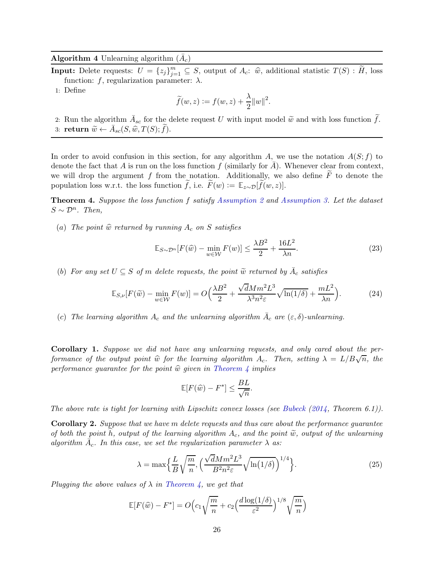<span id="page-25-1"></span>Algorithm 4 Unlearning algorithm  $(\bar{A}_c)$ 

**Input:** Delete requests:  $U = \{z_j\}_{j=1}^m \subseteq S$ , output of  $A_c$ :  $\hat{w}$ , additional statistic  $T(S)$ :  $\tilde{H}$ , loss function: f, regularization parameter:  $\lambda$ .

1: Define

$$
\widetilde{f}(w, z) := f(w, z) + \frac{\lambda}{2} ||w||^2.
$$

2: Run the algorithm  $\bar{A}_{sc}$  for the delete request U with input model  $\tilde{w}$  and with loss function  $\tilde{f}$ . 3: return  $\widetilde{w} \leftarrow \bar{A}_{sc}(S, \widehat{w}, T(S); \widetilde{f}).$ 

In order to avoid confusion in this section, for any algorithm A, we use the notation  $A(S; f)$  to denote the fact that A is run on the loss function f (similarly for  $\bar{A}$ ). Whenever clear from context, we will drop the argument f from the notation. Additionally, we also define  $\overline{F}$  to denote the population loss w.r.t. the loss function f, i.e.  $F(w) := \mathbb{E}_{z \sim \mathcal{D}}[f(w, z)].$ 

<span id="page-25-0"></span>Theorem 4. Suppose the loss function f satisfy [Assumption 2](#page-24-2) and [Assumption 3.](#page-24-3) Let the dataset  $S \sim \mathcal{D}^n$ . Then,

(a) The point  $\hat{w}$  returned by running  $A_c$  on S satisfies

$$
\mathbb{E}_{S \sim \mathcal{D}^n} [F(\widehat{w}) - \min_{w \in \mathcal{W}} F(w)] \le \frac{\lambda B^2}{2} + \frac{16L^2}{\lambda n}.
$$
 (23)

(b) For any set  $U \subseteq S$  of m delete requests, the point  $\widetilde{w}$  returned by  $\overline{A}_c$  satisfies

$$
\mathbb{E}_{S,\nu}[F(\tilde{w}) - \min_{w \in \mathcal{W}} F(w)] = O\left(\frac{\lambda B^2}{2} + \frac{\sqrt{d}Mm^2L^3}{\lambda^3n^2\varepsilon}\sqrt{\ln(1/\delta)} + \frac{mL^2}{\lambda n}\right).
$$
 (24)

(c) The learning algorithm  $A_c$  and the unlearning algorithm  $\overline{A}_c$  are  $(\varepsilon,\delta)$ -unlearning.

Corollary 1. Suppose we did not have any unlearning requests, and only cared about the performance of the output point  $\widehat{w}$  for the learning algorithm  $A_c$ . Then, setting  $\lambda = L/B\sqrt{n}$ , the performance quarantee for the point  $\hat{w}$  given in [Theorem 4](#page-25-0) implies

$$
\mathbb{E}[F(\widehat{w}) - F^*] \le \frac{BL}{\sqrt{n}}.
$$

The above rate is tight for learning with Lipschitz convex losses (see [Bubeck](#page-11-9)  $(2014,$  $(2014,$  Theorem 6.1)).

<span id="page-25-2"></span>Corollary 2. Suppose that we have m delete requests and thus care about the performance guarantee of both the point h, output of the learning algorithm  $A_c$ , and the point  $\tilde{w}$ , output of the unlearning algorithm  $\bar{A}_c$ . In this case, we set the regularization parameter  $\lambda$  as:

$$
\lambda = \max\left\{\frac{L}{B}\sqrt{\frac{m}{n}}, \left(\frac{\sqrt{d}Mm^2L^3}{B^2n^2\varepsilon}\sqrt{\ln(1/\delta)}\right)^{1/4}\right\}.
$$
\n(25)

Plugging the above values of  $\lambda$  in [Theorem 4,](#page-25-0) we get that

$$
\mathbb{E}[F(\widehat{w}) - F^*] = O\Big(c_1\sqrt{\frac{m}{n}} + c_2\Big(\frac{d\log(1/\delta)}{\varepsilon^2}\Big)^{1/8}\sqrt{\frac{m}{n}}\Big)
$$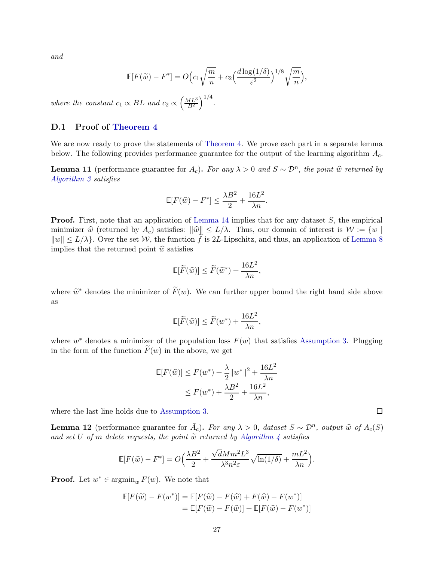and

$$
\mathbb{E}[F(\widetilde{w}) - F^*] = O\Big(c_1\sqrt{\frac{m}{n}} + c_2\Big(\frac{d\log(1/\delta)}{\varepsilon^2}\Big)^{1/8}\sqrt{\frac{m}{n}}\Big),
$$

where the constant  $c_1 \propto BL$  and  $c_2 \propto \left(\frac{ML^3}{B^2}\right)$  $B^2$  $\big)^{1/4}$ .

## <span id="page-26-0"></span>D.1 Proof of [Theorem 4](#page-25-0)

We are now ready to prove the statements of [Theorem 4.](#page-25-0) We prove each part in a separate lemma below. The following provides performance guarantee for the output of the learning algorithm  $A_c$ .

<span id="page-26-2"></span>**Lemma 11** (performance guarantee for  $A_c$ ). For any  $\lambda > 0$  and  $S \sim \mathcal{D}^n$ , the point  $\hat{w}$  returned by [Algorithm 3](#page-24-1) satisfies

$$
\mathbb{E}[F(\widehat{w}) - F^*] \le \frac{\lambda B^2}{2} + \frac{16L^2}{\lambda n}.
$$

**Proof.** First, note that an application of [Lemma 14](#page-27-2) implies that for any dataset S, the empirical minimizer  $\hat{w}$  (returned by  $A_c$ ) satisfies:  $\|\hat{w}\| \le L/\lambda$ . Thus, our domain of interest is  $\mathcal{W} := \{w \mid$  $||w|| \leq L/\lambda$ . Over the set W, the function f is 2L-Lipschitz, and thus, an application of [Lemma 8](#page-21-1) implies that the returned point  $\hat{w}$  satisfies

$$
\mathbb{E}[\widetilde{F}(\widehat{w})] \le \widetilde{F}(\widetilde{w}^*) + \frac{16L^2}{\lambda n},
$$

where  $\widetilde{w}^*$  denotes the minimizer of  $\widetilde{F}(w)$ . We can further upper bound the right hand side above as

$$
\mathbb{E}[\widetilde{F}(\widehat{w})] \le \widetilde{F}(w^*) + \frac{16L^2}{\lambda n},
$$

where  $w^*$  denotes a minimizer of the population loss  $F(w)$  that satisfies [Assumption 3.](#page-24-3) Plugging in the form of the function  $F(w)$  in the above, we get

$$
\mathbb{E}[F(\widehat{w})] \le F(w^*) + \frac{\lambda}{2} \|w^*\|^2 + \frac{16L^2}{\lambda n} \le F(w^*) + \frac{\lambda B^2}{2} + \frac{16L^2}{\lambda n},
$$

where the last line holds due to [Assumption 3.](#page-24-3)

<span id="page-26-1"></span>**Lemma 12** (performance guarantee for  $\overline{A}_c$ ). For any  $\lambda > 0$ , dataset  $S \sim \mathcal{D}^n$ , output  $\widehat{w}$  of  $A_c(S)$ and set U of m delete requests, the point  $\tilde{w}$  returned by [Algorithm 4](#page-25-1) satisfies

$$
\mathbb{E}[F(\widehat{w}) - F^*] = O\left(\frac{\lambda B^2}{2} + \frac{\sqrt{d}Mm^2L^3}{\lambda^3n^2\varepsilon}\sqrt{\ln(1/\delta)} + \frac{mL^2}{\lambda n}\right).
$$

**Proof.** Let  $w^* \in \operatorname{argmin}_w F(w)$ . We note that

$$
\mathbb{E}[F(\widetilde{w}) - F(w^*)] = \mathbb{E}[F(\widetilde{w}) - F(\widehat{w}) + F(\widehat{w}) - F(w^*)]
$$
  
= 
$$
\mathbb{E}[F(\widetilde{w}) - F(\widehat{w})] + \mathbb{E}[F(\widehat{w}) - F(w^*)]
$$

 $\Box$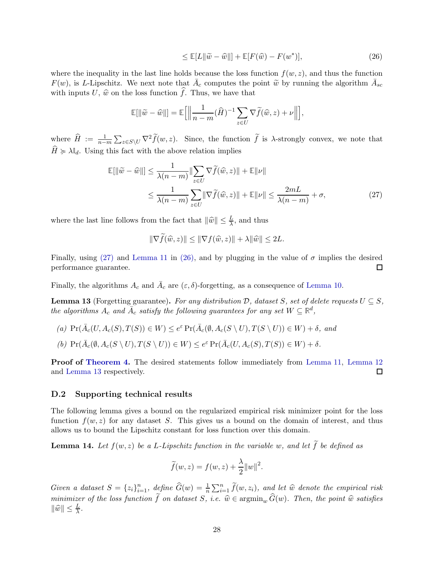$$
\leq \mathbb{E}[L\|\widetilde{w} - \widehat{w}\|] + \mathbb{E}[F(\widehat{w}) - F(w^*)],\tag{26}
$$

where the inequality in the last line holds because the loss function  $f(w, z)$ , and thus the function  $F(w)$ , is L-Lipschitz. We next note that  $\overline{A}_c$  computes the point  $\widetilde{w}$  by running the algorithm  $\overline{A}_{sc}$ with inputs U,  $\hat{w}$  on the loss function  $\hat{f}$ . Thus, we have that

$$
\mathbb{E}[\|\widetilde{w} - \widehat{w}\|] = \mathbb{E}\Big[\Big\|\frac{1}{n-m}(\widehat{H})^{-1} \sum_{z \in U} \nabla \widetilde{f}(\widehat{w}, z) + \nu \Big\|\Big],
$$

where  $\widehat{H} := \frac{1}{n-1}$  $\frac{1}{n-m}\sum_{z\in S\setminus U}\nabla^2\widetilde{f}(w,z)$ . Since, the function  $\widetilde{f}$  is  $\lambda$ -strongly convex, we note that  $\hat{H} \ge \lambda \mathbb{I}_d$ . Using this fact with the above relation implies

$$
\mathbb{E}[\|\widetilde{w} - \widehat{w}\|] \le \frac{1}{\lambda(n-m)} \|\sum_{z \in U} \nabla \widetilde{f}(\widehat{w}, z)\| + \mathbb{E}\|\nu\|
$$
  

$$
\le \frac{1}{\lambda(n-m)} \sum_{z \in U} \|\nabla \widetilde{f}(\widehat{w}, z)\| + \mathbb{E}\|\nu\| \le \frac{2mL}{\lambda(n-m)} + \sigma,
$$
 (27)

where the last line follows from the fact that  $\|\widehat{w}\| \leq \frac{L}{\lambda}$ , and thus

$$
\|\nabla \tilde{f}(\hat{w}, z)\| \le \|\nabla f(\hat{w}, z)\| + \lambda \|\hat{w}\| \le 2L.
$$

Finally, using [\(27\)](#page-26-1) and [Lemma 11](#page-26-2) in [\(26\),](#page-26-1) and by plugging in the value of  $\sigma$  implies the desired performance guarantee. □

Finally, the algorithms  $A_c$  and  $\overline{A}_c$  are  $(\varepsilon, \delta)$ -forgetting, as a consequence of [Lemma 10.](#page-23-0)

<span id="page-27-1"></span>**Lemma 13** (Forgetting guarantee). For any distribution D, dataset S, set of delete requests  $U \subseteq S$ , the algorithms  $A_c$  and  $\bar{A}_c$  satisfy the following guarantees for any set  $W \subseteq \mathbb{R}^d$ ,

(a)  $\Pr(\bar{A}_c(U, A_c(S), T(S)) \in W) \leq e^{\varepsilon} \Pr(\bar{A}_c(\emptyset, A_c(S \setminus U), T(S \setminus U)) \in W) + \delta$ , and (b)  $\Pr(\bar{A}_{c}(\emptyset, A_{c}(S \setminus U), T(S \setminus U)) \in W) \leq e^{\varepsilon} \Pr(\bar{A}_{c}(U, A_{c}(S), T(S)) \in W) + \delta.$ 

Proof of [Theorem 4.](#page-25-0) The desired statements follow immediately from [Lemma 11,](#page-26-2) [Lemma 12](#page-26-1) and [Lemma 13](#page-27-1) respectively.  $\Box$ 

## <span id="page-27-0"></span>D.2 Supporting technical results

The following lemma gives a bound on the regularized empirical risk minimizer point for the loss function  $f(w, z)$  for any dataset S. This gives us a bound on the domain of interest, and thus allows us to bound the Lipschitz constant for loss function over this domain.

<span id="page-27-2"></span>**Lemma 14.** Let  $f(w, z)$  be a L-Lipschitz function in the variable w, and let  $\widetilde{f}$  be defined as

$$
\widetilde{f}(w, z) = f(w, z) + \frac{\lambda}{2} ||w||^2.
$$

Given a dataset  $S = \{z_i\}_{i=1}^n$ , define  $\widehat{G}(w) = \frac{1}{n} \sum_{i=1}^n \widetilde{f}(w, z_i)$ , and let  $\widehat{w}$  denote the empirical risk minimizer of the loss function  $\tilde{f}$  on dataset S, i.e.  $\hat{w} \in \mathop{\rm argmin}_{w} \hat{G}(w)$ . Then, the point  $\hat{w}$  satisfies  $\|\widehat{w}\| \leq \frac{L}{\lambda}$ .